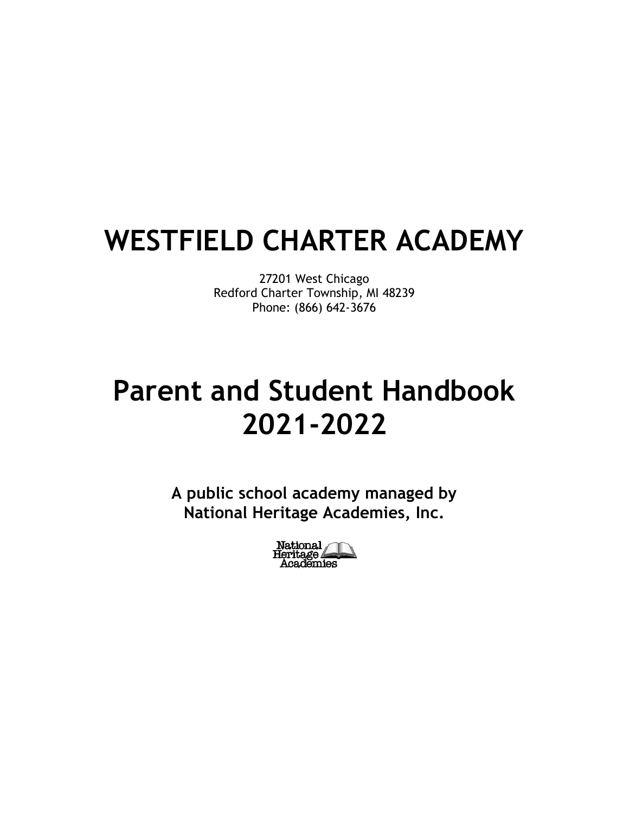# **WESTFIELD CHARTER ACADEMY**

27201 West Chicago Redford Charter Township, MI 48239 Phone: (866) 642-3676

# **Parent and Student Handbook 2021-2022**

**A public school academy managed by National Heritage Academies, Inc.**

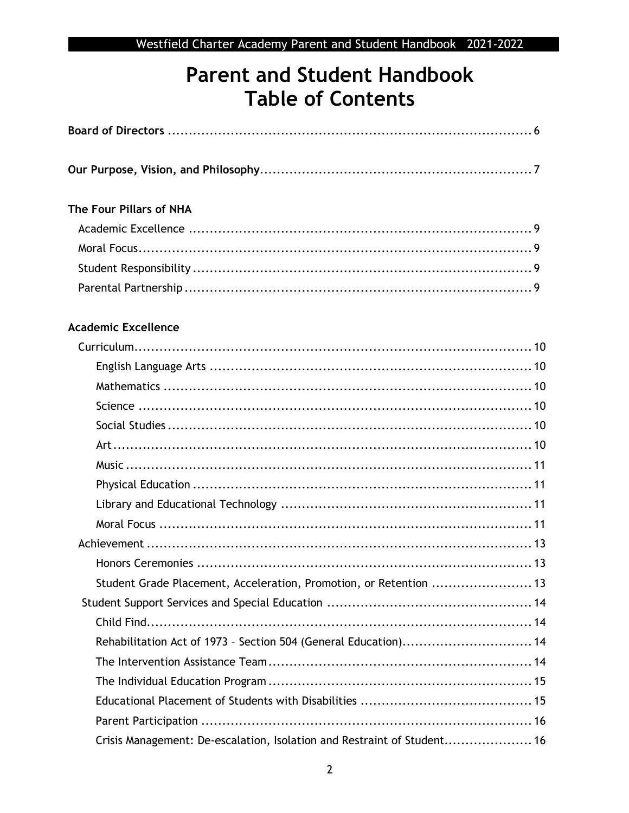## **Parent and Student Handbook Table of Contents**

| The Four Pillars of NHA                                                 |
|-------------------------------------------------------------------------|
|                                                                         |
|                                                                         |
|                                                                         |
|                                                                         |
| <b>Academic Excellence</b>                                              |
|                                                                         |
|                                                                         |
|                                                                         |
|                                                                         |
|                                                                         |
|                                                                         |
|                                                                         |
|                                                                         |
|                                                                         |
|                                                                         |
|                                                                         |
|                                                                         |
| Student Grade Placement, Acceleration, Promotion, or Retention  13      |
|                                                                         |
|                                                                         |
| Rehabilitation Act of 1973 - Section 504 (General Education) 14         |
|                                                                         |
|                                                                         |
|                                                                         |
|                                                                         |
| Crisis Management: De-escalation, Isolation and Restraint of Student 16 |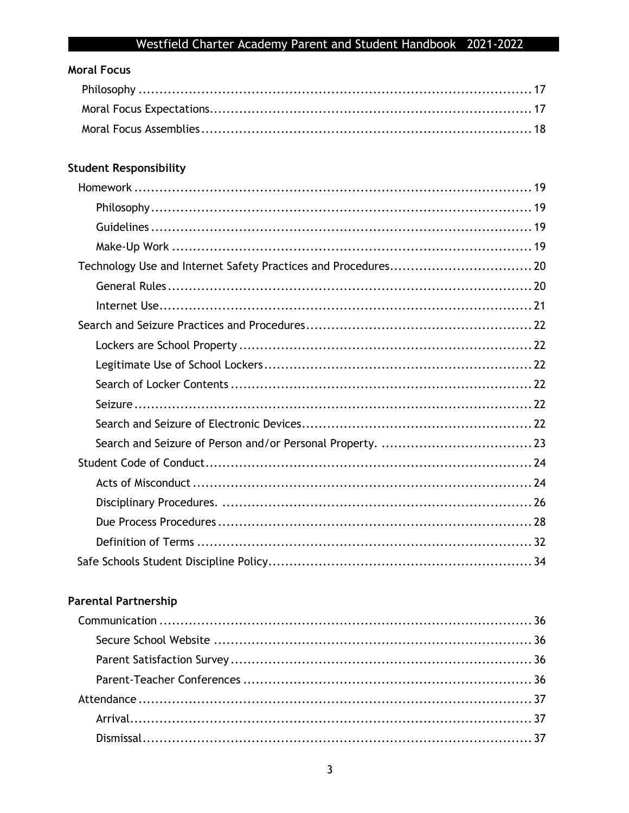## **Moral Focus**

## **Student Responsibility**

## **Parental Partnership**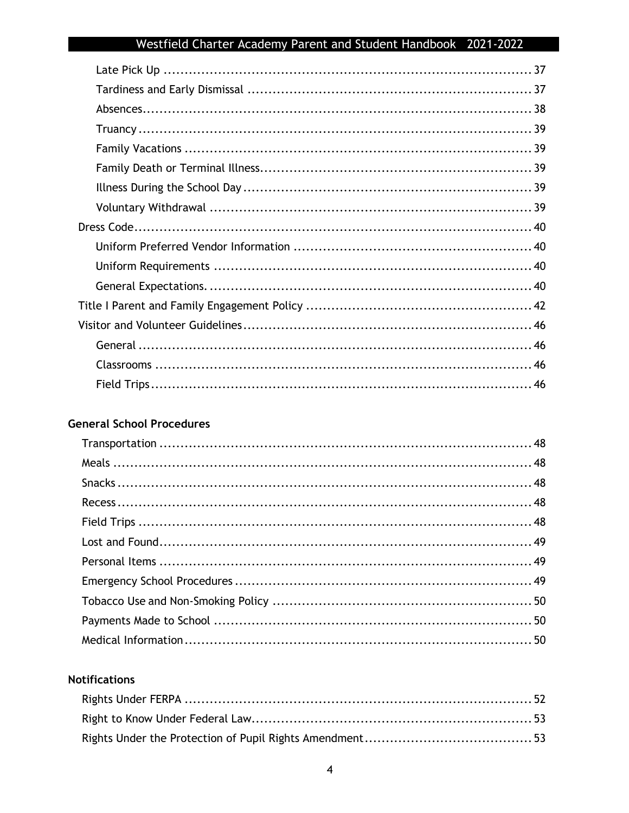### **General School Procedures**

#### **Notifications**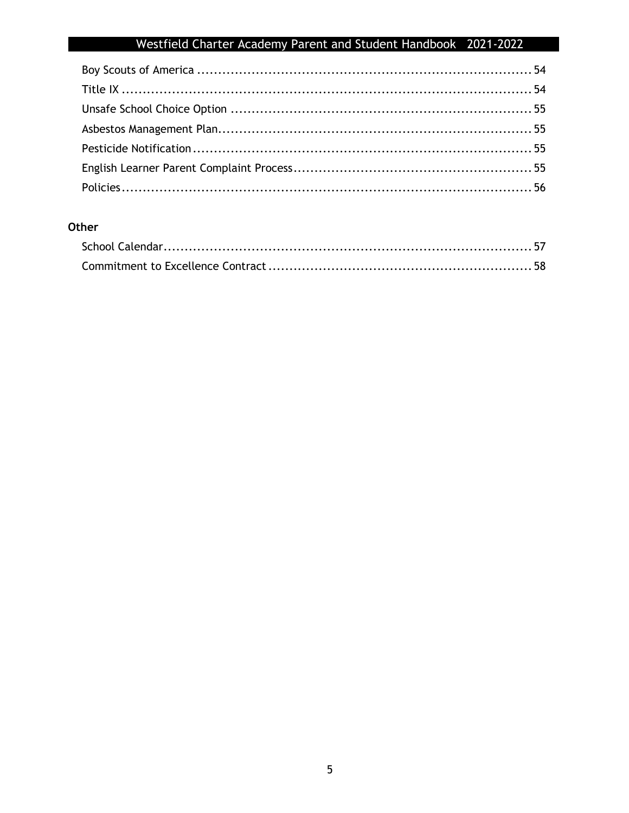## Other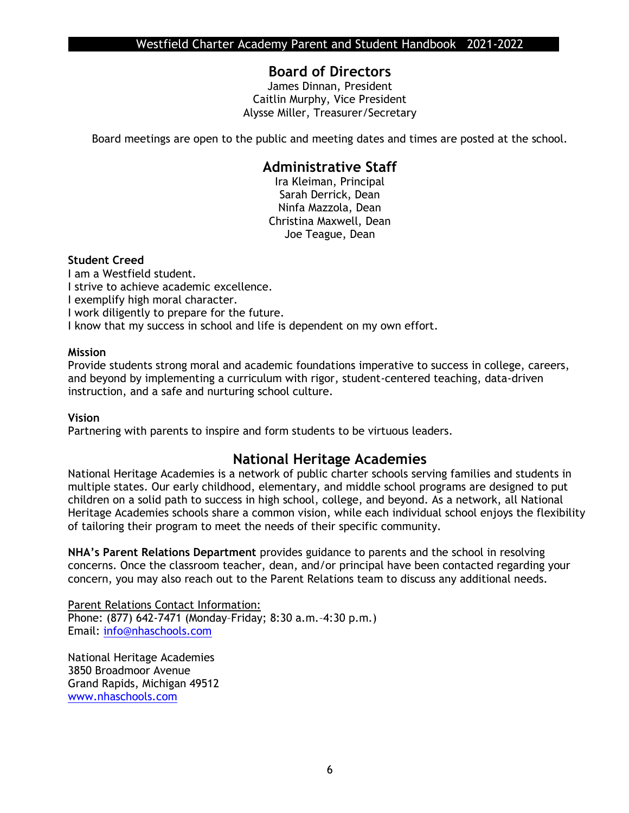## **Board of Directors**

James Dinnan, President Caitlin Murphy, Vice President Alysse Miller, Treasurer/Secretary

Board meetings are open to the public and meeting dates and times are posted at the school.

### **Administrative Staff**

Ira Kleiman, Principal Sarah Derrick, Dean Ninfa Mazzola, Dean Christina Maxwell, Dean Joe Teague, Dean

#### **Student Creed**

I am a Westfield student. I strive to achieve academic excellence. I exemplify high moral character. I work diligently to prepare for the future. I know that my success in school and life is dependent on my own effort.

#### **Mission**

Provide students strong moral and academic foundations imperative to success in college, careers, and beyond by implementing a curriculum with rigor, student-centered teaching, data-driven instruction, and a safe and nurturing school culture.

#### **Vision**

Partnering with parents to inspire and form students to be virtuous leaders.

### **National Heritage Academies**

National Heritage Academies is a network of public charter schools serving families and students in multiple states. Our early childhood, elementary, and middle school programs are designed to put children on a solid path to success in high school, college, and beyond. As a network, all National Heritage Academies schools share a common vision, while each individual school enjoys the flexibility of tailoring their program to meet the needs of their specific community.

**NHA's Parent Relations Department** provides guidance to parents and the school in resolving concerns. Once the classroom teacher, dean, and/or principal have been contacted regarding your concern, you may also reach out to the Parent Relations team to discuss any additional needs.

Parent Relations Contact Information: Phone: (877) 642-7471 (Monday–Friday; 8:30 a.m.–4:30 p.m.) Email: [info@nhaschools.com](mailto:info@nhaschools.com)

National Heritage Academies 3850 Broadmoor Avenue Grand Rapids, Michigan 49512 [www.nhaschools.com](http://www.nhaschools.com/)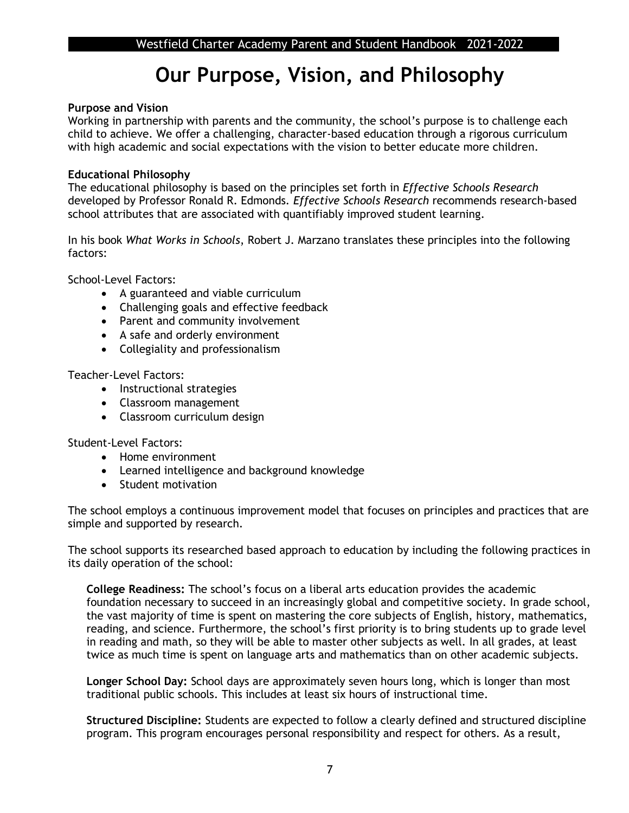## **Our Purpose, Vision, and Philosophy**

#### **Purpose and Vision**

Working in partnership with parents and the community, the school's purpose is to challenge each child to achieve. We offer a challenging, character-based education through a rigorous curriculum with high academic and social expectations with the vision to better educate more children.

#### **Educational Philosophy**

The educational philosophy is based on the principles set forth in *Effective Schools Research*  developed by Professor Ronald R. Edmonds*. Effective Schools Research* recommends research-based school attributes that are associated with quantifiably improved student learning.

In his book *What Works in Schools*, Robert J. Marzano translates these principles into the following factors:

School-Level Factors:

- A guaranteed and viable curriculum
- Challenging goals and effective feedback
- Parent and community involvement
- A safe and orderly environment
- Collegiality and professionalism

Teacher-Level Factors:

- Instructional strategies
- Classroom management
- Classroom curriculum design

Student-Level Factors:

- Home environment
- Learned intelligence and background knowledge
- Student motivation

The school employs a continuous improvement model that focuses on principles and practices that are simple and supported by research.

The school supports its researched based approach to education by including the following practices in its daily operation of the school:

**College Readiness:** The school's focus on a liberal arts education provides the academic foundation necessary to succeed in an increasingly global and competitive society. In grade school, the vast majority of time is spent on mastering the core subjects of English, history, mathematics, reading, and science. Furthermore, the school's first priority is to bring students up to grade level in reading and math, so they will be able to master other subjects as well. In all grades, at least twice as much time is spent on language arts and mathematics than on other academic subjects.

**Longer School Day:** School days are approximately seven hours long, which is longer than most traditional public schools. This includes at least six hours of instructional time.

**Structured Discipline:** Students are expected to follow a clearly defined and structured discipline program. This program encourages personal responsibility and respect for others. As a result,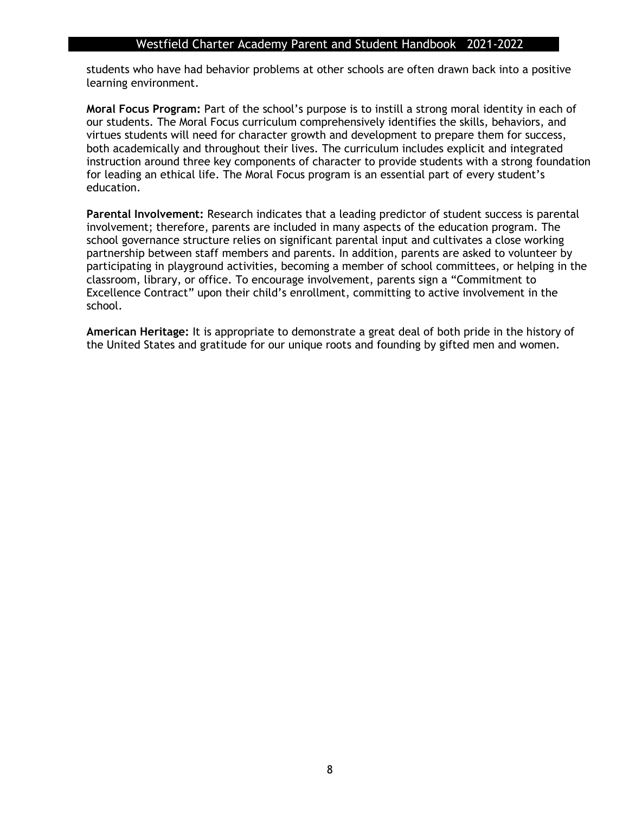students who have had behavior problems at other schools are often drawn back into a positive learning environment.

**Moral Focus Program:** Part of the school's purpose is to instill a strong moral identity in each of our students. The Moral Focus curriculum comprehensively identifies the skills, behaviors, and virtues students will need for character growth and development to prepare them for success, both academically and throughout their lives. The curriculum includes explicit and integrated instruction around three key components of character to provide students with a strong foundation for leading an ethical life. The Moral Focus program is an essential part of every student's education.

**Parental Involvement:** Research indicates that a leading predictor of student success is parental involvement; therefore, parents are included in many aspects of the education program. The school governance structure relies on significant parental input and cultivates a close working partnership between staff members and parents. In addition, parents are asked to volunteer by participating in playground activities, becoming a member of school committees, or helping in the classroom, library, or office. To encourage involvement, parents sign a "Commitment to Excellence Contract" upon their child's enrollment, committing to active involvement in the school.

**American Heritage:** It is appropriate to demonstrate a great deal of both pride in the history of the United States and gratitude for our unique roots and founding by gifted men and women.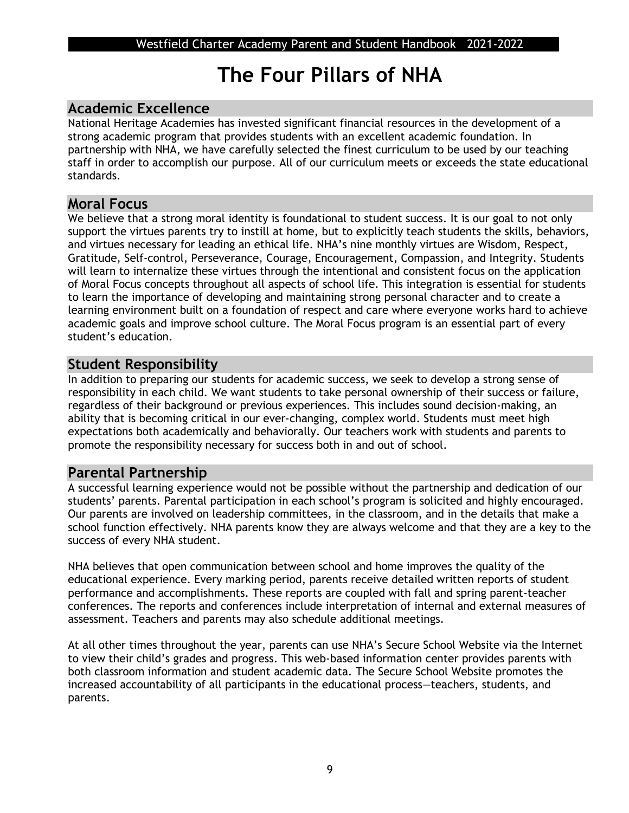## **The Four Pillars of NHA**

## **Academic Excellence**

National Heritage Academies has invested significant financial resources in the development of a strong academic program that provides students with an excellent academic foundation. In partnership with NHA, we have carefully selected the finest curriculum to be used by our teaching staff in order to accomplish our purpose. All of our curriculum meets or exceeds the state educational standards.

### **Moral Focus**

We believe that a strong moral identity is foundational to student success. It is our goal to not only support the virtues parents try to instill at home, but to explicitly teach students the skills, behaviors, and virtues necessary for leading an ethical life. NHA's nine monthly virtues are Wisdom, Respect, Gratitude, Self-control, Perseverance, Courage, Encouragement, Compassion, and Integrity. Students will learn to internalize these virtues through the intentional and consistent focus on the application of Moral Focus concepts throughout all aspects of school life. This integration is essential for students to learn the importance of developing and maintaining strong personal character and to create a learning environment built on a foundation of respect and care where everyone works hard to achieve academic goals and improve school culture. The Moral Focus program is an essential part of every student's education.

## **Student Responsibility**

In addition to preparing our students for academic success, we seek to develop a strong sense of responsibility in each child. We want students to take personal ownership of their success or failure, regardless of their background or previous experiences. This includes sound decision-making, an ability that is becoming critical in our ever-changing, complex world. Students must meet high expectations both academically and behaviorally. Our teachers work with students and parents to promote the responsibility necessary for success both in and out of school.

## **Parental Partnership**

A successful learning experience would not be possible without the partnership and dedication of our students' parents. Parental participation in each school's program is solicited and highly encouraged. Our parents are involved on leadership committees, in the classroom, and in the details that make a school function effectively. NHA parents know they are always welcome and that they are a key to the success of every NHA student.

NHA believes that open communication between school and home improves the quality of the educational experience. Every marking period, parents receive detailed written reports of student performance and accomplishments. These reports are coupled with fall and spring parent-teacher conferences. The reports and conferences include interpretation of internal and external measures of assessment. Teachers and parents may also schedule additional meetings.

At all other times throughout the year, parents can use NHA's Secure School Website via the Internet to view their child's grades and progress. This web-based information center provides parents with both classroom information and student academic data. The Secure School Website promotes the increased accountability of all participants in the educational process—teachers, students, and parents.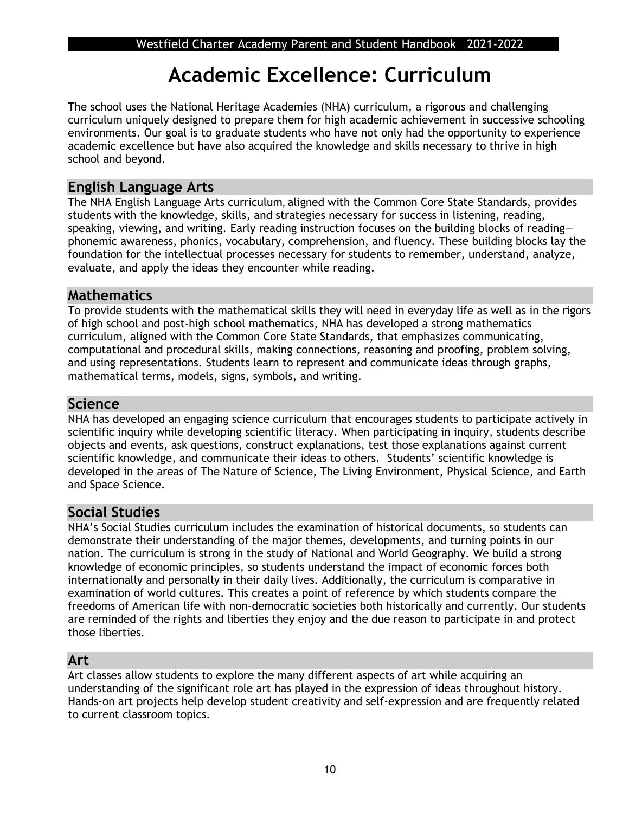## **Academic Excellence: Curriculum**

The school uses the National Heritage Academies (NHA) curriculum, a rigorous and challenging curriculum uniquely designed to prepare them for high academic achievement in successive schooling environments. Our goal is to graduate students who have not only had the opportunity to experience academic excellence but have also acquired the knowledge and skills necessary to thrive in high school and beyond.

## **English Language Arts**

The NHA English Language Arts curriculum, aligned with the Common Core State Standards, provides students with the knowledge, skills, and strategies necessary for success in listening, reading, speaking, viewing, and writing. Early reading instruction focuses on the building blocks of readingphonemic awareness, phonics, vocabulary, comprehension, and fluency. These building blocks lay the foundation for the intellectual processes necessary for students to remember, understand, analyze, evaluate, and apply the ideas they encounter while reading.

## **Mathematics**

To provide students with the mathematical skills they will need in everyday life as well as in the rigors of high school and post-high school mathematics, NHA has developed a strong mathematics curriculum, aligned with the Common Core State Standards, that emphasizes communicating, computational and procedural skills, making connections, reasoning and proofing, problem solving, and using representations. Students learn to represent and communicate ideas through graphs, mathematical terms, models, signs, symbols, and writing.

### **Science**

NHA has developed an engaging science curriculum that encourages students to participate actively in scientific inquiry while developing scientific literacy. When participating in inquiry, students describe objects and events, ask questions, construct explanations, test those explanations against current scientific knowledge, and communicate their ideas to others. Students' scientific knowledge is developed in the areas of The Nature of Science, The Living Environment, Physical Science, and Earth and Space Science.

## **Social Studies**

NHA's Social Studies curriculum includes the examination of historical documents, so students can demonstrate their understanding of the major themes, developments, and turning points in our nation. The curriculum is strong in the study of National and World Geography. We build a strong knowledge of economic principles, so students understand the impact of economic forces both internationally and personally in their daily lives. Additionally, the curriculum is comparative in examination of world cultures. This creates a point of reference by which students compare the freedoms of American life with non-democratic societies both historically and currently. Our students are reminded of the rights and liberties they enjoy and the due reason to participate in and protect those liberties.

## **Art**

Art classes allow students to explore the many different aspects of art while acquiring an understanding of the significant role art has played in the expression of ideas throughout history. Hands-on art projects help develop student creativity and self-expression and are frequently related to current classroom topics.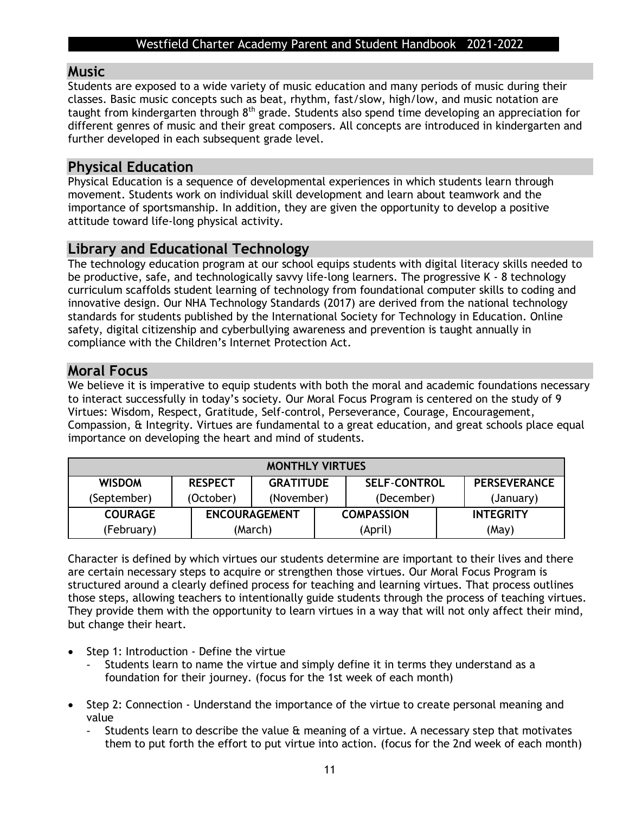### **Music**

Students are exposed to a wide variety of music education and many periods of music during their classes. Basic music concepts such as beat, rhythm, fast/slow, high/low, and music notation are taught from kindergarten through 8<sup>th</sup> grade. Students also spend time developing an appreciation for different genres of music and their great composers. All concepts are introduced in kindergarten and further developed in each subsequent grade level.

## **Physical Education**

Physical Education is a sequence of developmental experiences in which students learn through movement. Students work on individual skill development and learn about teamwork and the importance of sportsmanship. In addition, they are given the opportunity to develop a positive attitude toward life-long physical activity.

## **Library and Educational Technology**

The technology education program at our school equips students with digital literacy skills needed to be productive, safe, and technologically savvy life-long learners. The progressive K - 8 technology curriculum scaffolds student learning of technology from foundational computer skills to coding and innovative design. Our NHA Technology Standards (2017) are derived from the national technology standards for students published by the International Society for Technology in Education. Online safety, digital citizenship and cyberbullying awareness and prevention is taught annually in compliance with the Children's Internet Protection Act.

### **Moral Focus**

We believe it is imperative to equip students with both the moral and academic foundations necessary to interact successfully in today's society. Our Moral Focus Program is centered on the study of 9 Virtues: Wisdom, Respect, Gratitude, Self-control, Perseverance, Courage, Encouragement, Compassion, & Integrity. Virtues are fundamental to a great education, and great schools place equal importance on developing the heart and mind of students.

| <b>MONTHLY VIRTUES</b> |                |                                                                |  |                   |                  |
|------------------------|----------------|----------------------------------------------------------------|--|-------------------|------------------|
| <b>WISDOM</b>          | <b>RESPECT</b> | <b>PERSEVERANCE</b><br><b>GRATITUDE</b><br><b>SELF-CONTROL</b> |  |                   |                  |
| (September)            | (October)      | (November)                                                     |  | (December)        | (January)        |
| <b>COURAGE</b>         |                | <b>ENCOURAGEMENT</b>                                           |  | <b>COMPASSION</b> | <b>INTEGRITY</b> |
| (February)             |                | (March)                                                        |  | (April)           | (May)            |

Character is defined by which virtues our students determine are important to their lives and there are certain necessary steps to acquire or strengthen those virtues. Our Moral Focus Program is structured around a clearly defined process for teaching and learning virtues. That process outlines those steps, allowing teachers to intentionally guide students through the process of teaching virtues. They provide them with the opportunity to learn virtues in a way that will not only affect their mind, but change their heart.

- Step 1: Introduction Define the virtue
	- Students learn to name the virtue and simply define it in terms they understand as a foundation for their journey. (focus for the 1st week of each month)
- Step 2: Connection Understand the importance of the virtue to create personal meaning and value
	- Students learn to describe the value  $\theta$  meaning of a virtue. A necessary step that motivates them to put forth the effort to put virtue into action. (focus for the 2nd week of each month)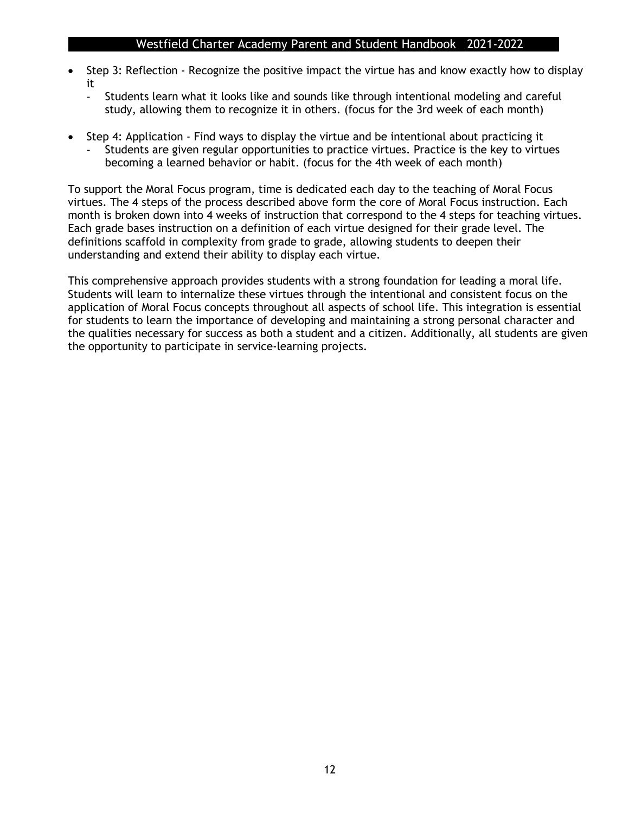- Step 3: Reflection Recognize the positive impact the virtue has and know exactly how to display it
	- Students learn what it looks like and sounds like through intentional modeling and careful study, allowing them to recognize it in others. (focus for the 3rd week of each month)
- Step 4: Application Find ways to display the virtue and be intentional about practicing it Students are given regular opportunities to practice virtues. Practice is the key to virtues becoming a learned behavior or habit. (focus for the 4th week of each month)

To support the Moral Focus program, time is dedicated each day to the teaching of Moral Focus virtues. The 4 steps of the process described above form the core of Moral Focus instruction. Each month is broken down into 4 weeks of instruction that correspond to the 4 steps for teaching virtues. Each grade bases instruction on a definition of each virtue designed for their grade level. The definitions scaffold in complexity from grade to grade, allowing students to deepen their understanding and extend their ability to display each virtue.

This comprehensive approach provides students with a strong foundation for leading a moral life. Students will learn to internalize these virtues through the intentional and consistent focus on the application of Moral Focus concepts throughout all aspects of school life. This integration is essential for students to learn the importance of developing and maintaining a strong personal character and the qualities necessary for success as both a student and a citizen. Additionally, all students are given the opportunity to participate in service-learning projects.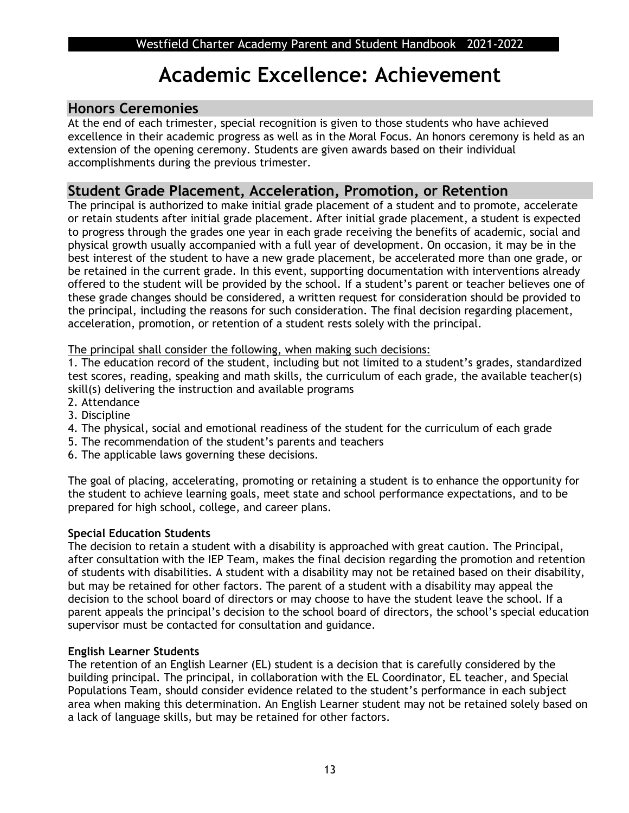## **Academic Excellence: Achievement**

## **Honors Ceremonies**

At the end of each trimester, special recognition is given to those students who have achieved excellence in their academic progress as well as in the Moral Focus. An honors ceremony is held as an extension of the opening ceremony. Students are given awards based on their individual accomplishments during the previous trimester.

## **Student Grade Placement, Acceleration, Promotion, or Retention**

The principal is authorized to make initial grade placement of a student and to promote, accelerate or retain students after initial grade placement. After initial grade placement, a student is expected to progress through the grades one year in each grade receiving the benefits of academic, social and physical growth usually accompanied with a full year of development. On occasion, it may be in the best interest of the student to have a new grade placement, be accelerated more than one grade, or be retained in the current grade. In this event, supporting documentation with interventions already offered to the student will be provided by the school. If a student's parent or teacher believes one of these grade changes should be considered, a written request for consideration should be provided to the principal, including the reasons for such consideration. The final decision regarding placement, acceleration, promotion, or retention of a student rests solely with the principal.

The principal shall consider the following, when making such decisions:

1. The education record of the student, including but not limited to a student's grades, standardized test scores, reading, speaking and math skills, the curriculum of each grade, the available teacher(s) skill(s) delivering the instruction and available programs

- 2. Attendance
- 3. Discipline
- 4. The physical, social and emotional readiness of the student for the curriculum of each grade
- 5. The recommendation of the student's parents and teachers
- 6. The applicable laws governing these decisions.

The goal of placing, accelerating, promoting or retaining a student is to enhance the opportunity for the student to achieve learning goals, meet state and school performance expectations, and to be prepared for high school, college, and career plans.

#### **Special Education Students**

The decision to retain a student with a disability is approached with great caution. The Principal, after consultation with the IEP Team, makes the final decision regarding the promotion and retention of students with disabilities. A student with a disability may not be retained based on their disability, but may be retained for other factors. The parent of a student with a disability may appeal the decision to the school board of directors or may choose to have the student leave the school. If a parent appeals the principal's decision to the school board of directors, the school's special education supervisor must be contacted for consultation and guidance.

#### **English Learner Students**

The retention of an English Learner (EL) student is a decision that is carefully considered by the building principal. The principal, in collaboration with the EL Coordinator, EL teacher, and Special Populations Team, should consider evidence related to the student's performance in each subject area when making this determination. An English Learner student may not be retained solely based on a lack of language skills, but may be retained for other factors.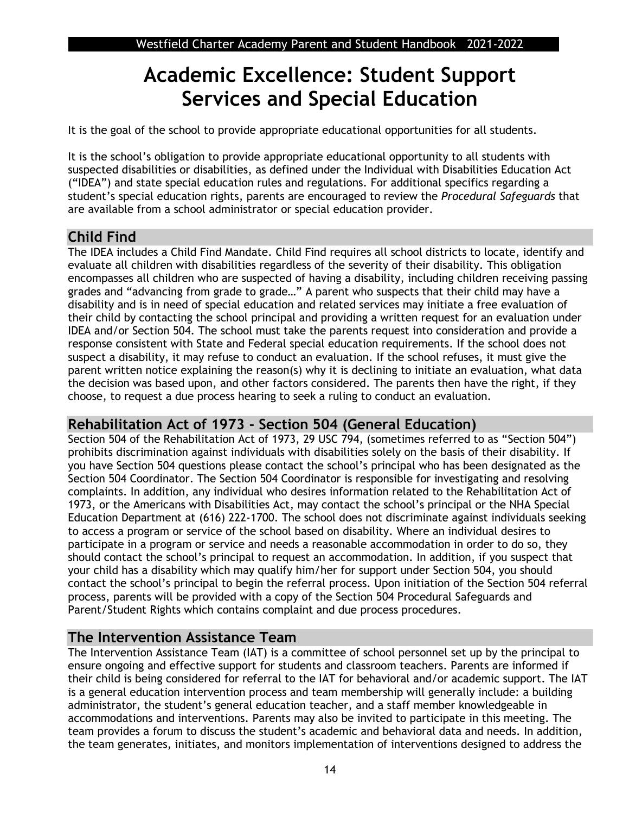## **Academic Excellence: Student Support Services and Special Education**

It is the goal of the school to provide appropriate educational opportunities for all students.

It is the school's obligation to provide appropriate educational opportunity to all students with suspected disabilities or disabilities, as defined under the Individual with Disabilities Education Act ("IDEA") and state special education rules and regulations. For additional specifics regarding a student's special education rights, parents are encouraged to review the *Procedural Safeguards* that are available from a school administrator or special education provider.

## **Child Find**

The IDEA includes a Child Find Mandate. Child Find requires all school districts to locate, identify and evaluate all children with disabilities regardless of the severity of their disability. This obligation encompasses all children who are suspected of having a disability, including children receiving passing grades and "advancing from grade to grade…" A parent who suspects that their child may have a disability and is in need of special education and related services may initiate a free evaluation of their child by contacting the school principal and providing a written request for an evaluation under IDEA and/or Section 504. The school must take the parents request into consideration and provide a response consistent with State and Federal special education requirements. If the school does not suspect a disability, it may refuse to conduct an evaluation. If the school refuses, it must give the parent written notice explaining the reason(s) why it is declining to initiate an evaluation, what data the decision was based upon, and other factors considered. The parents then have the right, if they choose, to request a due process hearing to seek a ruling to conduct an evaluation.

## **Rehabilitation Act of 1973 - Section 504 (General Education)**

Section 504 of the Rehabilitation Act of 1973, 29 USC 794, (sometimes referred to as "Section 504") prohibits discrimination against individuals with disabilities solely on the basis of their disability. If you have Section 504 questions please contact the school's principal who has been designated as the Section 504 Coordinator. The Section 504 Coordinator is responsible for investigating and resolving complaints. In addition, any individual who desires information related to the Rehabilitation Act of 1973, or the Americans with Disabilities Act, may contact the school's principal or the NHA Special Education Department at (616) 222-1700. The school does not discriminate against individuals seeking to access a program or service of the school based on disability. Where an individual desires to participate in a program or service and needs a reasonable accommodation in order to do so, they should contact the school's principal to request an accommodation. In addition, if you suspect that your child has a disability which may qualify him/her for support under Section 504, you should contact the school's principal to begin the referral process. Upon initiation of the Section 504 referral process, parents will be provided with a copy of the Section 504 Procedural Safeguards and Parent/Student Rights which contains complaint and due process procedures.

## **The Intervention Assistance Team**

The Intervention Assistance Team (IAT) is a committee of school personnel set up by the principal to ensure ongoing and effective support for students and classroom teachers. Parents are informed if their child is being considered for referral to the IAT for behavioral and/or academic support. The IAT is a general education intervention process and team membership will generally include: a building administrator, the student's general education teacher, and a staff member knowledgeable in accommodations and interventions. Parents may also be invited to participate in this meeting. The team provides a forum to discuss the student's academic and behavioral data and needs. In addition, the team generates, initiates, and monitors implementation of interventions designed to address the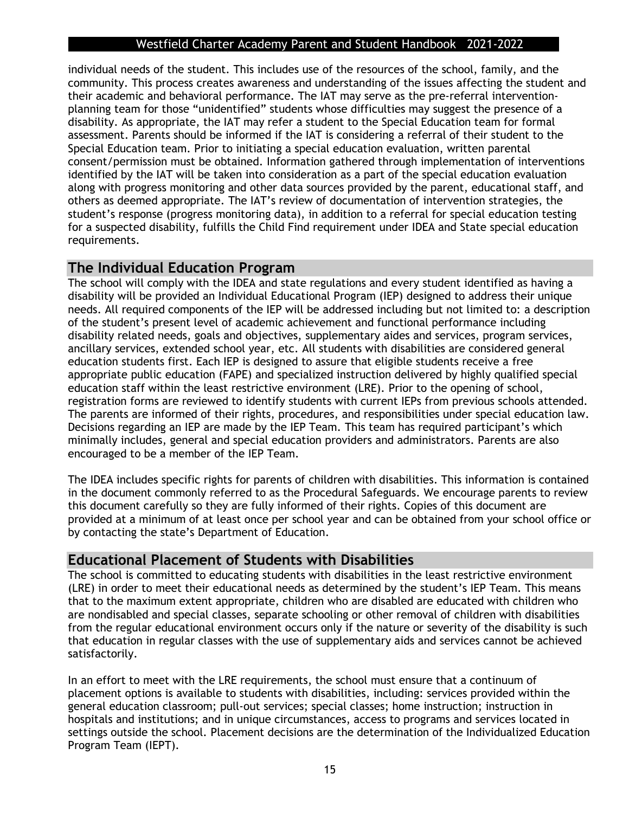individual needs of the student. This includes use of the resources of the school, family, and the community. This process creates awareness and understanding of the issues affecting the student and their academic and behavioral performance. The IAT may serve as the pre-referral interventionplanning team for those "unidentified" students whose difficulties may suggest the presence of a disability. As appropriate, the IAT may refer a student to the Special Education team for formal assessment. Parents should be informed if the IAT is considering a referral of their student to the Special Education team. Prior to initiating a special education evaluation, written parental consent/permission must be obtained. Information gathered through implementation of interventions identified by the IAT will be taken into consideration as a part of the special education evaluation along with progress monitoring and other data sources provided by the parent, educational staff, and others as deemed appropriate. The IAT's review of documentation of intervention strategies, the student's response (progress monitoring data), in addition to a referral for special education testing for a suspected disability, fulfills the Child Find requirement under IDEA and State special education requirements.

## **The Individual Education Program**

The school will comply with the IDEA and state regulations and every student identified as having a disability will be provided an Individual Educational Program (IEP) designed to address their unique needs. All required components of the IEP will be addressed including but not limited to: a description of the student's present level of academic achievement and functional performance including disability related needs, goals and objectives, supplementary aides and services, program services, ancillary services, extended school year, etc. All students with disabilities are considered general education students first. Each IEP is designed to assure that eligible students receive a free appropriate public education (FAPE) and specialized instruction delivered by highly qualified special education staff within the least restrictive environment (LRE). Prior to the opening of school, registration forms are reviewed to identify students with current IEPs from previous schools attended. The parents are informed of their rights, procedures, and responsibilities under special education law. Decisions regarding an IEP are made by the IEP Team. This team has required participant's which minimally includes, general and special education providers and administrators. Parents are also encouraged to be a member of the IEP Team.

The IDEA includes specific rights for parents of children with disabilities. This information is contained in the document commonly referred to as the Procedural Safeguards. We encourage parents to review this document carefully so they are fully informed of their rights. Copies of this document are provided at a minimum of at least once per school year and can be obtained from your school office or by contacting the state's Department of Education.

### **Educational Placement of Students with Disabilities**

The school is committed to educating students with disabilities in the least restrictive environment (LRE) in order to meet their educational needs as determined by the student's IEP Team. This means that to the maximum extent appropriate, children who are disabled are educated with children who are nondisabled and special classes, separate schooling or other removal of children with disabilities from the regular educational environment occurs only if the nature or severity of the disability is such that education in regular classes with the use of supplementary aids and services cannot be achieved satisfactorily.

In an effort to meet with the LRE requirements, the school must ensure that a continuum of placement options is available to students with disabilities, including: services provided within the general education classroom; pull-out services; special classes; home instruction; instruction in hospitals and institutions; and in unique circumstances, access to programs and services located in settings outside the school. Placement decisions are the determination of the Individualized Education Program Team (IEPT).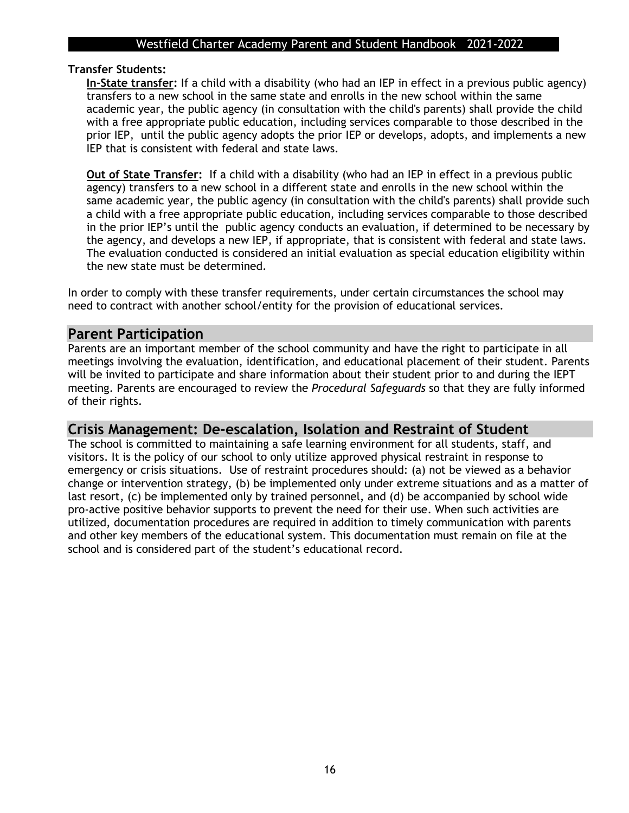#### **Transfer Students:**

**In-State transfer:** If a child with a disability (who had an IEP in effect in a previous public agency) transfers to a new school in the same state and enrolls in the new school within the same academic year, the public agency (in consultation with the child's parents) shall provide the child with a free appropriate public education, including services comparable to those described in the prior IEP, until the public agency adopts the prior IEP or develops, adopts, and implements a new IEP that is consistent with federal and state laws.

**Out of State Transfer:** If a child with a disability (who had an IEP in effect in a previous public agency) transfers to a new school in a different state and enrolls in the new school within the same academic year, the public agency (in consultation with the child's parents) shall provide such a child with a free appropriate public education, including services comparable to those described in the prior IEP's until the public agency conducts an evaluation, if determined to be necessary by the agency, and develops a new IEP, if appropriate, that is consistent with federal and state laws. The evaluation conducted is considered an initial evaluation as special education eligibility within the new state must be determined.

In order to comply with these transfer requirements, under certain circumstances the school may need to contract with another school/entity for the provision of educational services.

#### **Parent Participation**

Parents are an important member of the school community and have the right to participate in all meetings involving the evaluation, identification, and educational placement of their student. Parents will be invited to participate and share information about their student prior to and during the IEPT meeting. Parents are encouraged to review the *Procedural Safeguards* so that they are fully informed of their rights.

### **Crisis Management: De-escalation, Isolation and Restraint of Student**

The school is committed to maintaining a safe learning environment for all students, staff, and visitors. It is the policy of our school to only utilize approved physical restraint in response to emergency or crisis situations. Use of restraint procedures should: (a) not be viewed as a behavior change or intervention strategy, (b) be implemented only under extreme situations and as a matter of last resort, (c) be implemented only by trained personnel, and (d) be accompanied by school wide pro-active positive behavior supports to prevent the need for their use. When such activities are utilized, documentation procedures are required in addition to timely communication with parents and other key members of the educational system. This documentation must remain on file at the school and is considered part of the student's educational record.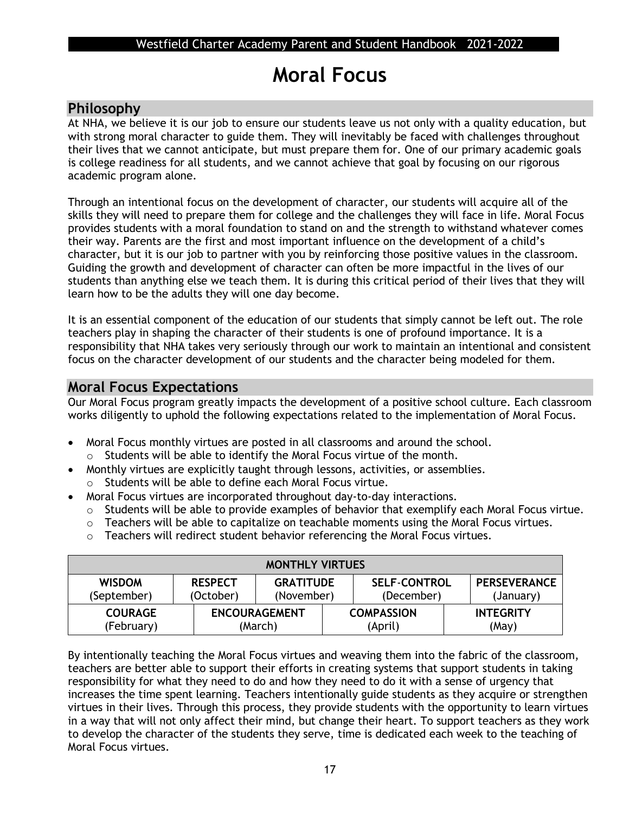## **Moral Focus**

## **Philosophy**

At NHA, we believe it is our job to ensure our students leave us not only with a quality education, but with strong moral character to guide them. They will inevitably be faced with challenges throughout their lives that we cannot anticipate, but must prepare them for. One of our primary academic goals is college readiness for all students, and we cannot achieve that goal by focusing on our rigorous academic program alone.

Through an intentional focus on the development of character, our students will acquire all of the skills they will need to prepare them for college and the challenges they will face in life. Moral Focus provides students with a moral foundation to stand on and the strength to withstand whatever comes their way. Parents are the first and most important influence on the development of a child's character, but it is our job to partner with you by reinforcing those positive values in the classroom. Guiding the growth and development of character can often be more impactful in the lives of our students than anything else we teach them. It is during this critical period of their lives that they will learn how to be the adults they will one day become.

It is an essential component of the education of our students that simply cannot be left out. The role teachers play in shaping the character of their students is one of profound importance. It is a responsibility that NHA takes very seriously through our work to maintain an intentional and consistent focus on the character development of our students and the character being modeled for them.

## **Moral Focus Expectations**

Our Moral Focus program greatly impacts the development of a positive school culture. Each classroom works diligently to uphold the following expectations related to the implementation of Moral Focus.

- Moral Focus monthly virtues are posted in all classrooms and around the school. o Students will be able to identify the Moral Focus virtue of the month.
- Monthly virtues are explicitly taught through lessons, activities, or assemblies.
- o Students will be able to define each Moral Focus virtue.
- Moral Focus virtues are incorporated throughout day-to-day interactions.
	- o Students will be able to provide examples of behavior that exemplify each Moral Focus virtue.
	- o Teachers will be able to capitalize on teachable moments using the Moral Focus virtues.
	- o Teachers will redirect student behavior referencing the Moral Focus virtues.

| <b>MONTHLY VIRTUES</b>       |                             |                                 |  |                                   |                                  |
|------------------------------|-----------------------------|---------------------------------|--|-----------------------------------|----------------------------------|
| <b>WISDOM</b><br>(September) | <b>RESPECT</b><br>(October) | <b>GRATITUDE</b><br>(November)  |  | <b>SELF-CONTROL</b><br>(December) | <b>PERSEVERANCE</b><br>(January) |
| <b>COURAGE</b><br>(February) |                             | <b>ENCOURAGEMENT</b><br>(March) |  | <b>COMPASSION</b><br>(April)      | <b>INTEGRITY</b><br>(May)        |

By intentionally teaching the Moral Focus virtues and weaving them into the fabric of the classroom, teachers are better able to support their efforts in creating systems that support students in taking responsibility for what they need to do and how they need to do it with a sense of urgency that increases the time spent learning. Teachers intentionally guide students as they acquire or strengthen virtues in their lives. Through this process, they provide students with the opportunity to learn virtues in a way that will not only affect their mind, but change their heart. To support teachers as they work to develop the character of the students they serve, time is dedicated each week to the teaching of Moral Focus virtues.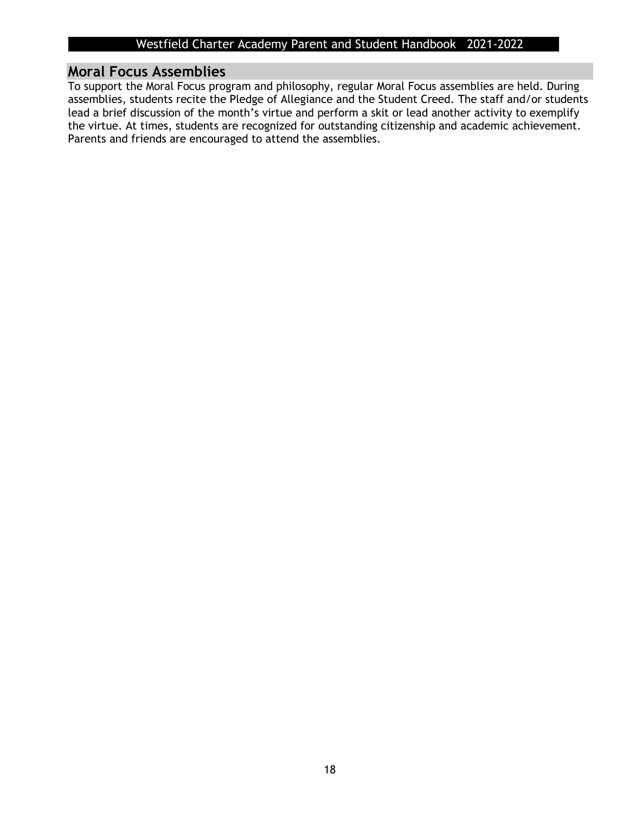### **Moral Focus Assemblies**

To support the Moral Focus program and philosophy, regular Moral Focus assemblies are held. During assemblies, students recite the Pledge of Allegiance and the Student Creed. The staff and/or students lead a brief discussion of the month's virtue and perform a skit or lead another activity to exemplify the virtue. At times, students are recognized for outstanding citizenship and academic achievement. Parents and friends are encouraged to attend the assemblies.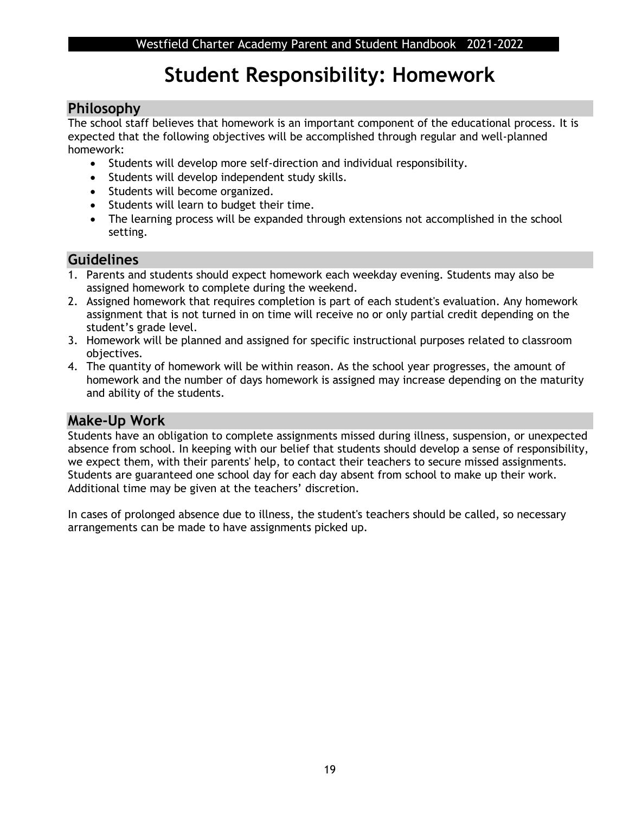## **Student Responsibility: Homework**

## **Philosophy**

The school staff believes that homework is an important component of the educational process. It is expected that the following objectives will be accomplished through regular and well-planned homework:

- Students will develop more self-direction and individual responsibility.
- Students will develop independent study skills.
- Students will become organized.
- Students will learn to budget their time.
- The learning process will be expanded through extensions not accomplished in the school setting.

## **Guidelines**

- 1. Parents and students should expect homework each weekday evening. Students may also be assigned homework to complete during the weekend.
- 2. Assigned homework that requires completion is part of each student's evaluation. Any homework assignment that is not turned in on time will receive no or only partial credit depending on the student's grade level.
- 3. Homework will be planned and assigned for specific instructional purposes related to classroom objectives.
- 4. The quantity of homework will be within reason. As the school year progresses, the amount of homework and the number of days homework is assigned may increase depending on the maturity and ability of the students.

## **Make-Up Work**

Students have an obligation to complete assignments missed during illness, suspension, or unexpected absence from school. In keeping with our belief that students should develop a sense of responsibility, we expect them, with their parents' help, to contact their teachers to secure missed assignments. Students are guaranteed one school day for each day absent from school to make up their work. Additional time may be given at the teachers' discretion.

In cases of prolonged absence due to illness, the student's teachers should be called, so necessary arrangements can be made to have assignments picked up.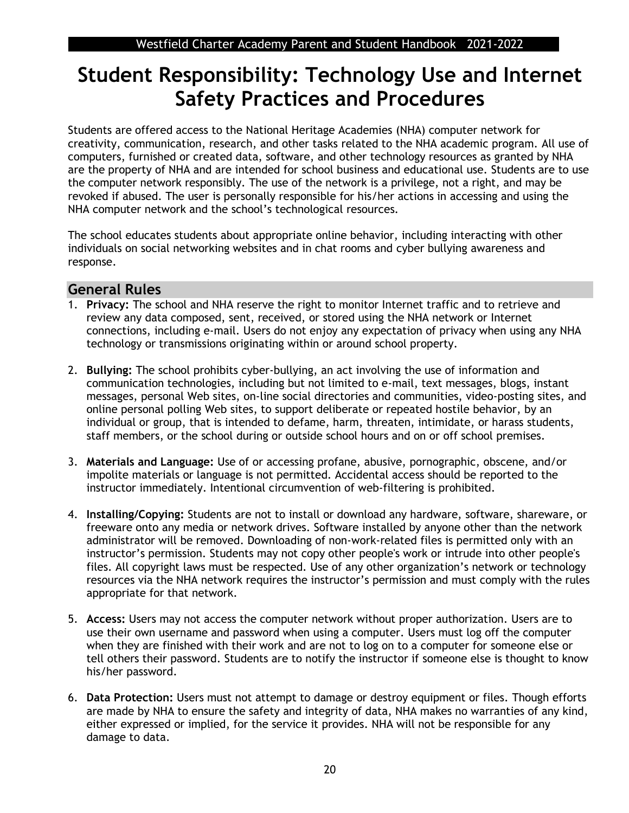## **Student Responsibility: Technology Use and Internet Safety Practices and Procedures**

Students are offered access to the National Heritage Academies (NHA) computer network for creativity, communication, research, and other tasks related to the NHA academic program. All use of computers, furnished or created data, software, and other technology resources as granted by NHA are the property of NHA and are intended for school business and educational use. Students are to use the computer network responsibly. The use of the network is a privilege, not a right, and may be revoked if abused. The user is personally responsible for his/her actions in accessing and using the NHA computer network and the school's technological resources.

The school educates students about appropriate online behavior, including interacting with other individuals on social networking websites and in chat rooms and cyber bullying awareness and response.

#### **General Rules**

- 1. **Privacy:** The school and NHA reserve the right to monitor Internet traffic and to retrieve and review any data composed, sent, received, or stored using the NHA network or Internet connections, including e-mail. Users do not enjoy any expectation of privacy when using any NHA technology or transmissions originating within or around school property.
- 2. **Bullying:** The school prohibits cyber-bullying, an act involving the use of information and communication technologies, including but not limited to e-mail, text messages, blogs, instant messages, personal Web sites, on-line social directories and communities, video-posting sites, and online personal polling Web sites, to support deliberate or repeated hostile behavior, by an individual or group, that is intended to defame, harm, threaten, intimidate, or harass students, staff members, or the school during or outside school hours and on or off school premises.
- 3. **Materials and Language:** Use of or accessing profane, abusive, pornographic, obscene, and/or impolite materials or language is not permitted. Accidental access should be reported to the instructor immediately. Intentional circumvention of web-filtering is prohibited.
- 4. **Installing/Copying:** Students are not to install or download any hardware, software, shareware, or freeware onto any media or network drives. Software installed by anyone other than the network administrator will be removed. Downloading of non-work-related files is permitted only with an instructor's permission. Students may not copy other people's work or intrude into other people's files. All copyright laws must be respected. Use of any other organization's network or technology resources via the NHA network requires the instructor's permission and must comply with the rules appropriate for that network.
- 5. **Access:** Users may not access the computer network without proper authorization. Users are to use their own username and password when using a computer. Users must log off the computer when they are finished with their work and are not to log on to a computer for someone else or tell others their password. Students are to notify the instructor if someone else is thought to know his/her password.
- 6. **Data Protection:** Users must not attempt to damage or destroy equipment or files. Though efforts are made by NHA to ensure the safety and integrity of data, NHA makes no warranties of any kind, either expressed or implied, for the service it provides. NHA will not be responsible for any damage to data.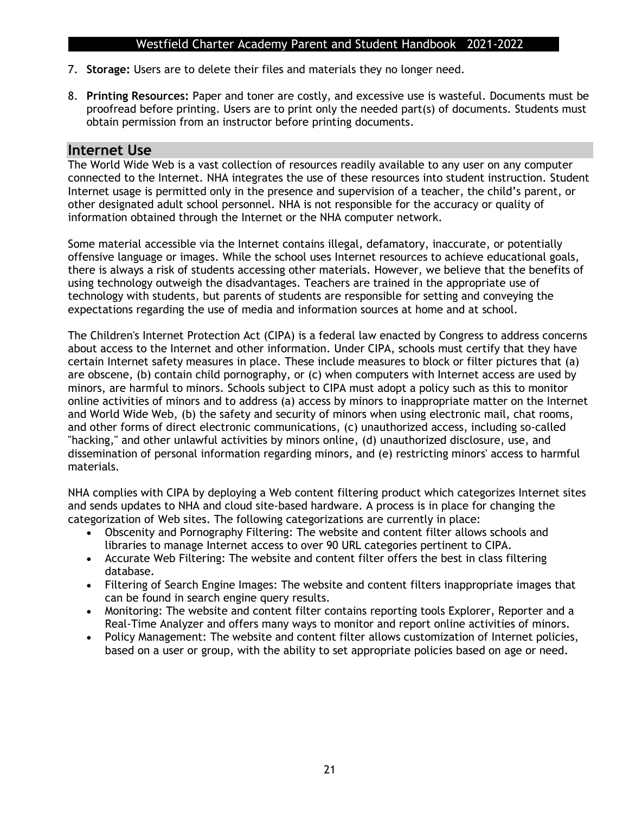- 7. **Storage:** Users are to delete their files and materials they no longer need.
- 8. **Printing Resources:** Paper and toner are costly, and excessive use is wasteful. Documents must be proofread before printing. Users are to print only the needed part(s) of documents. Students must obtain permission from an instructor before printing documents.

#### **Internet Use**

The World Wide Web is a vast collection of resources readily available to any user on any computer connected to the Internet. NHA integrates the use of these resources into student instruction. Student Internet usage is permitted only in the presence and supervision of a teacher, the child's parent, or other designated adult school personnel. NHA is not responsible for the accuracy or quality of information obtained through the Internet or the NHA computer network.

Some material accessible via the Internet contains illegal, defamatory, inaccurate, or potentially offensive language or images. While the school uses Internet resources to achieve educational goals, there is always a risk of students accessing other materials. However, we believe that the benefits of using technology outweigh the disadvantages. Teachers are trained in the appropriate use of technology with students, but parents of students are responsible for setting and conveying the expectations regarding the use of media and information sources at home and at school.

The Children's Internet Protection Act (CIPA) is a federal law enacted by Congress to address concerns about access to the Internet and other information. Under CIPA, schools must certify that they have certain Internet safety measures in place. These include measures to block or filter pictures that (a) are obscene, (b) contain child pornography, or (c) when computers with Internet access are used by minors, are harmful to minors. Schools subject to CIPA must adopt a policy such as this to monitor online activities of minors and to address (a) access by minors to inappropriate matter on the Internet and World Wide Web, (b) the safety and security of minors when using electronic mail, chat rooms, and other forms of direct electronic communications, (c) unauthorized access, including so-called "hacking," and other unlawful activities by minors online, (d) unauthorized disclosure, use, and dissemination of personal information regarding minors, and (e) restricting minors' access to harmful materials.

NHA complies with CIPA by deploying a Web content filtering product which categorizes Internet sites and sends updates to NHA and cloud site-based hardware. A process is in place for changing the categorization of Web sites. The following categorizations are currently in place:

- Obscenity and Pornography Filtering: The website and content filter allows schools and libraries to manage Internet access to over 90 URL categories pertinent to CIPA.
- Accurate Web Filtering: The website and content filter offers the best in class filtering database.
- Filtering of Search Engine Images: The website and content filters inappropriate images that can be found in search engine query results.
- Monitoring: The website and content filter contains reporting tools Explorer, Reporter and a Real-Time Analyzer and offers many ways to monitor and report online activities of minors.
- Policy Management: The website and content filter allows customization of Internet policies, based on a user or group, with the ability to set appropriate policies based on age or need.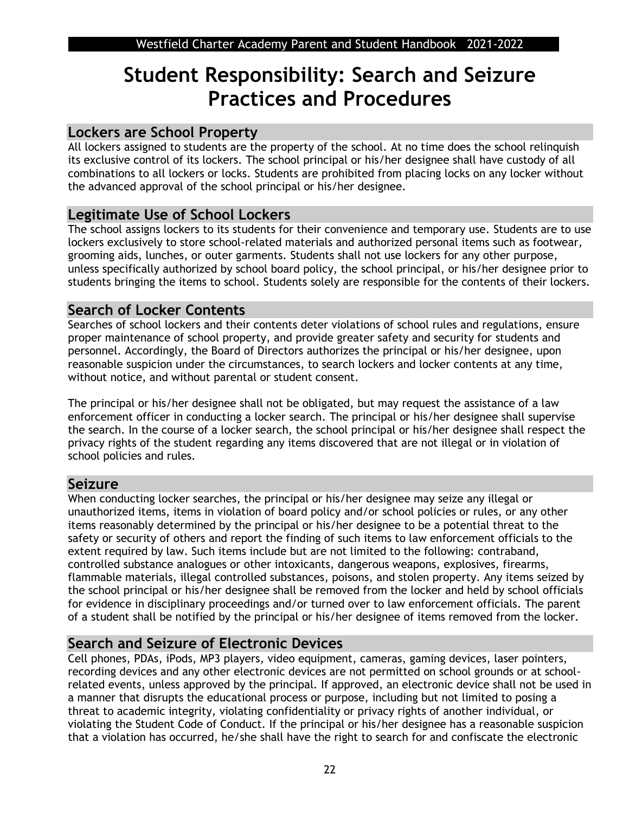## **Student Responsibility: Search and Seizure Practices and Procedures**

## **Lockers are School Property**

All lockers assigned to students are the property of the school. At no time does the school relinquish its exclusive control of its lockers. The school principal or his/her designee shall have custody of all combinations to all lockers or locks. Students are prohibited from placing locks on any locker without the advanced approval of the school principal or his/her designee.

## **Legitimate Use of School Lockers**

The school assigns lockers to its students for their convenience and temporary use. Students are to use lockers exclusively to store school-related materials and authorized personal items such as footwear, grooming aids, lunches, or outer garments. Students shall not use lockers for any other purpose, unless specifically authorized by school board policy, the school principal, or his/her designee prior to students bringing the items to school. Students solely are responsible for the contents of their lockers.

## **Search of Locker Contents**

Searches of school lockers and their contents deter violations of school rules and regulations, ensure proper maintenance of school property, and provide greater safety and security for students and personnel. Accordingly, the Board of Directors authorizes the principal or his/her designee, upon reasonable suspicion under the circumstances, to search lockers and locker contents at any time, without notice, and without parental or student consent.

The principal or his/her designee shall not be obligated, but may request the assistance of a law enforcement officer in conducting a locker search. The principal or his/her designee shall supervise the search. In the course of a locker search, the school principal or his/her designee shall respect the privacy rights of the student regarding any items discovered that are not illegal or in violation of school policies and rules.

## **Seizure**

When conducting locker searches, the principal or his/her designee may seize any illegal or unauthorized items, items in violation of board policy and/or school policies or rules, or any other items reasonably determined by the principal or his/her designee to be a potential threat to the safety or security of others and report the finding of such items to law enforcement officials to the extent required by law. Such items include but are not limited to the following: contraband, controlled substance analogues or other intoxicants, dangerous weapons, explosives, firearms, flammable materials, illegal controlled substances, poisons, and stolen property. Any items seized by the school principal or his/her designee shall be removed from the locker and held by school officials for evidence in disciplinary proceedings and/or turned over to law enforcement officials. The parent of a student shall be notified by the principal or his/her designee of items removed from the locker.

## **Search and Seizure of Electronic Devices**

Cell phones, PDAs, iPods, MP3 players, video equipment, cameras, gaming devices, laser pointers, recording devices and any other electronic devices are not permitted on school grounds or at schoolrelated events, unless approved by the principal. If approved, an electronic device shall not be used in a manner that disrupts the educational process or purpose, including but not limited to posing a threat to academic integrity, violating confidentiality or privacy rights of another individual, or violating the Student Code of Conduct. If the principal or his/her designee has a reasonable suspicion that a violation has occurred, he/she shall have the right to search for and confiscate the electronic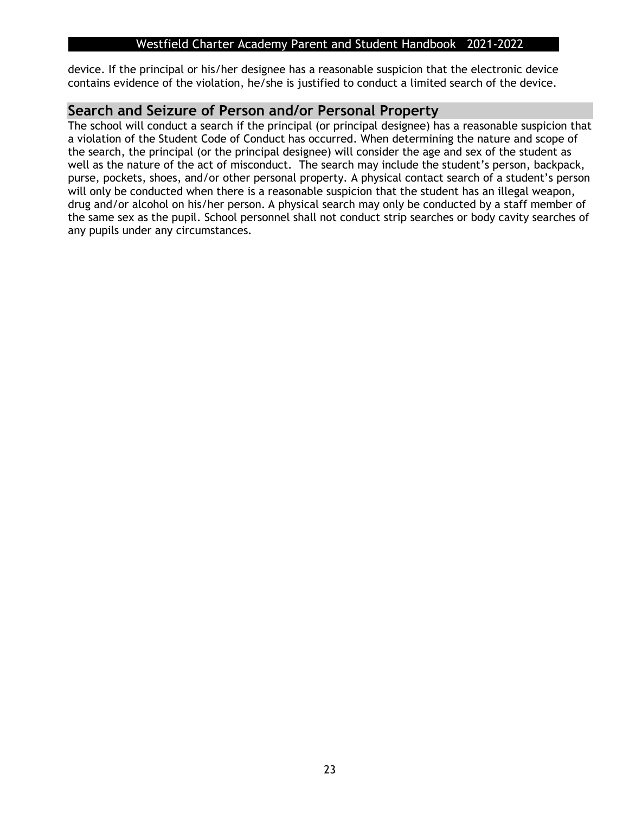device. If the principal or his/her designee has a reasonable suspicion that the electronic device contains evidence of the violation, he/she is justified to conduct a limited search of the device.

### **Search and Seizure of Person and/or Personal Property**

The school will conduct a search if the principal (or principal designee) has a reasonable suspicion that a violation of the Student Code of Conduct has occurred. When determining the nature and scope of the search, the principal (or the principal designee) will consider the age and sex of the student as well as the nature of the act of misconduct. The search may include the student's person, backpack, purse, pockets, shoes, and/or other personal property. A physical contact search of a student's person will only be conducted when there is a reasonable suspicion that the student has an illegal weapon, drug and/or alcohol on his/her person. A physical search may only be conducted by a staff member of the same sex as the pupil. School personnel shall not conduct strip searches or body cavity searches of any pupils under any circumstances.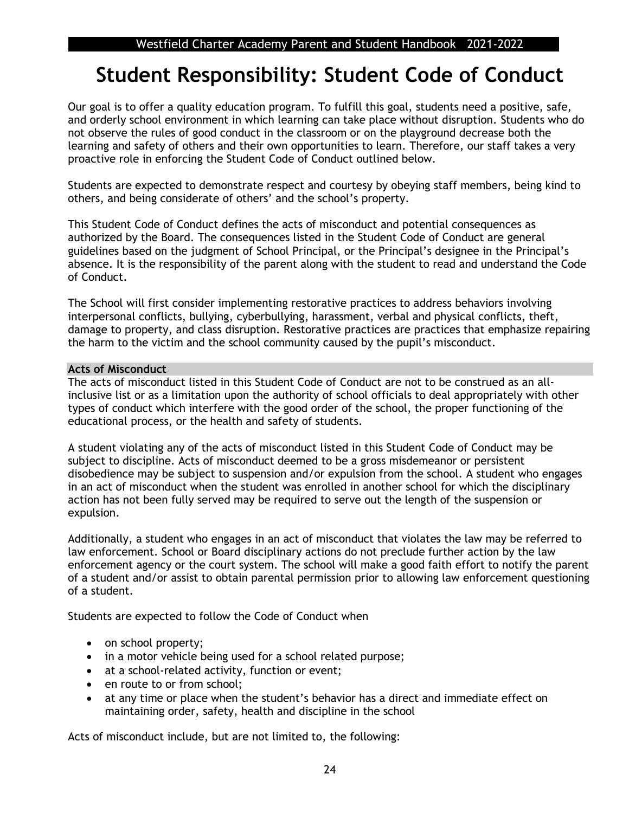## **Student Responsibility: Student Code of Conduct**

Our goal is to offer a quality education program. To fulfill this goal, students need a positive, safe, and orderly school environment in which learning can take place without disruption. Students who do not observe the rules of good conduct in the classroom or on the playground decrease both the learning and safety of others and their own opportunities to learn. Therefore, our staff takes a very proactive role in enforcing the Student Code of Conduct outlined below.

Students are expected to demonstrate respect and courtesy by obeying staff members, being kind to others, and being considerate of others' and the school's property.

This Student Code of Conduct defines the acts of misconduct and potential consequences as authorized by the Board. The consequences listed in the Student Code of Conduct are general guidelines based on the judgment of School Principal, or the Principal's designee in the Principal's absence. It is the responsibility of the parent along with the student to read and understand the Code of Conduct.

The School will first consider implementing restorative practices to address behaviors involving interpersonal conflicts, bullying, cyberbullying, harassment, verbal and physical conflicts, theft, damage to property, and class disruption. Restorative practices are practices that emphasize repairing the harm to the victim and the school community caused by the pupil's misconduct.

#### **Acts of Misconduct**

The acts of misconduct listed in this Student Code of Conduct are not to be construed as an allinclusive list or as a limitation upon the authority of school officials to deal appropriately with other types of conduct which interfere with the good order of the school, the proper functioning of the educational process, or the health and safety of students.

A student violating any of the acts of misconduct listed in this Student Code of Conduct may be subject to discipline. Acts of misconduct deemed to be a gross misdemeanor or persistent disobedience may be subject to suspension and/or expulsion from the school. A student who engages in an act of misconduct when the student was enrolled in another school for which the disciplinary action has not been fully served may be required to serve out the length of the suspension or expulsion.

Additionally, a student who engages in an act of misconduct that violates the law may be referred to law enforcement. School or Board disciplinary actions do not preclude further action by the law enforcement agency or the court system. The school will make a good faith effort to notify the parent of a student and/or assist to obtain parental permission prior to allowing law enforcement questioning of a student.

Students are expected to follow the Code of Conduct when

- on school property;
- in a motor vehicle being used for a school related purpose;
- at a school-related activity, function or event;
- en route to or from school:
- at any time or place when the student's behavior has a direct and immediate effect on maintaining order, safety, health and discipline in the school

Acts of misconduct include, but are not limited to, the following: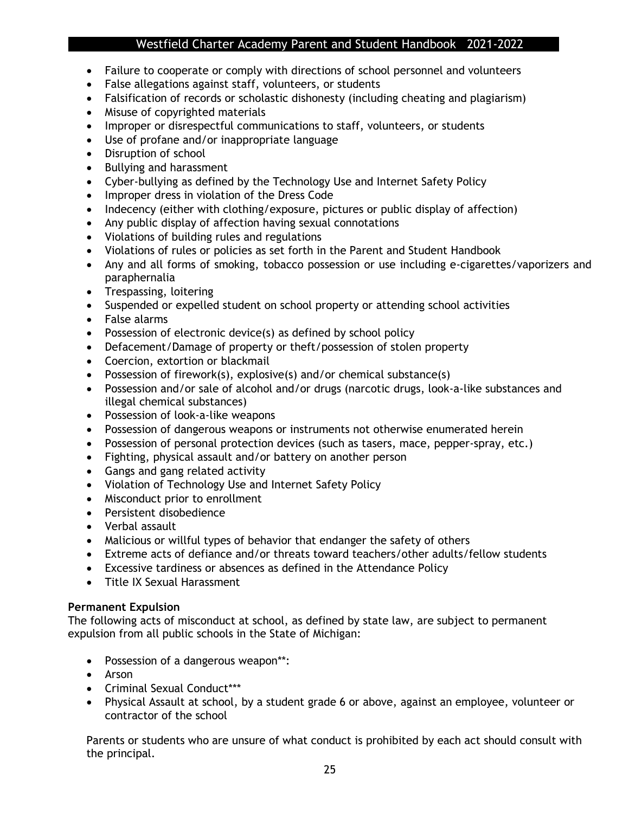- Failure to cooperate or comply with directions of school personnel and volunteers
- False allegations against staff, volunteers, or students
- Falsification of records or scholastic dishonesty (including cheating and plagiarism)
- Misuse of copyrighted materials
- Improper or disrespectful communications to staff, volunteers, or students
- Use of profane and/or inappropriate language
- Disruption of school
- Bullying and harassment
- Cyber-bullying as defined by the Technology Use and Internet Safety Policy
- Improper dress in violation of the Dress Code
- Indecency (either with clothing/exposure, pictures or public display of affection)
- Any public display of affection having sexual connotations
- Violations of building rules and regulations
- Violations of rules or policies as set forth in the Parent and Student Handbook
- Any and all forms of smoking, tobacco possession or use including e-cigarettes/vaporizers and paraphernalia
- Trespassing, loitering
- Suspended or expelled student on school property or attending school activities
- False alarms
- Possession of electronic device(s) as defined by school policy
- Defacement/Damage of property or theft/possession of stolen property
- Coercion, extortion or blackmail
- Possession of firework(s), explosive(s) and/or chemical substance(s)
- Possession and/or sale of alcohol and/or drugs (narcotic drugs, look-a-like substances and illegal chemical substances)
- Possession of look-a-like weapons
- Possession of dangerous weapons or instruments not otherwise enumerated herein
- Possession of personal protection devices (such as tasers, mace, pepper-spray, etc.)
- Fighting, physical assault and/or battery on another person
- Gangs and gang related activity
- Violation of Technology Use and Internet Safety Policy
- Misconduct prior to enrollment
- Persistent disobedience
- Verbal assault
- Malicious or willful types of behavior that endanger the safety of others
- Extreme acts of defiance and/or threats toward teachers/other adults/fellow students
- Excessive tardiness or absences as defined in the Attendance Policy
- Title IX Sexual Harassment

#### **Permanent Expulsion**

The following acts of misconduct at school, as defined by state law, are subject to permanent expulsion from all public schools in the State of Michigan:

- Possession of a dangerous weapon\*\*:
- Arson
- Criminal Sexual Conduct\*\*\*
- Physical Assault at school, by a student grade 6 or above, against an employee, volunteer or contractor of the school

Parents or students who are unsure of what conduct is prohibited by each act should consult with the principal.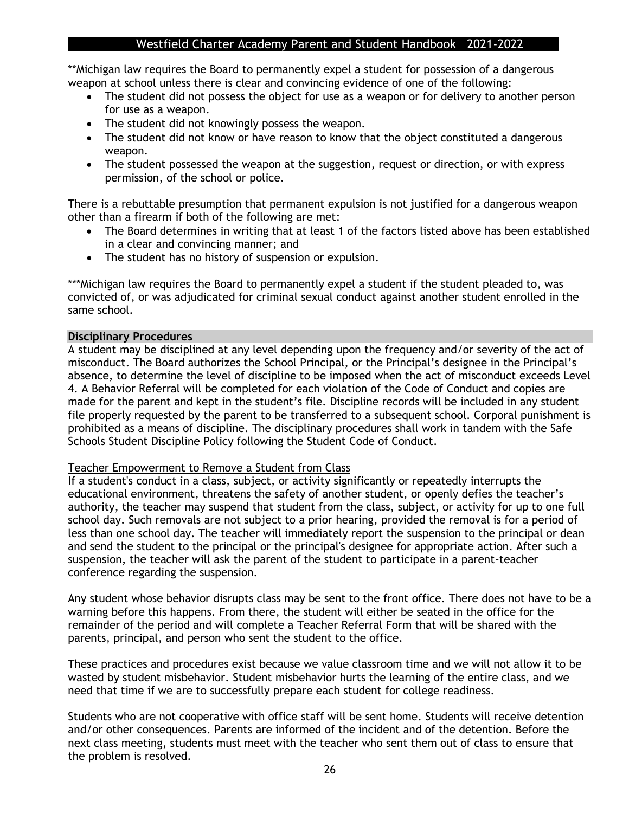\*\*Michigan law requires the Board to permanently expel a student for possession of a dangerous weapon at school unless there is clear and convincing evidence of one of the following:

- The student did not possess the object for use as a weapon or for delivery to another person for use as a weapon.
- The student did not knowingly possess the weapon.
- The student did not know or have reason to know that the object constituted a dangerous weapon.
- The student possessed the weapon at the suggestion, request or direction, or with express permission, of the school or police.

There is a rebuttable presumption that permanent expulsion is not justified for a dangerous weapon other than a firearm if both of the following are met:

- The Board determines in writing that at least 1 of the factors listed above has been established in a clear and convincing manner; and
- The student has no history of suspension or expulsion.

\*\*\*Michigan law requires the Board to permanently expel a student if the student pleaded to, was convicted of, or was adjudicated for criminal sexual conduct against another student enrolled in the same school.

#### **Disciplinary Procedures**

A student may be disciplined at any level depending upon the frequency and/or severity of the act of misconduct. The Board authorizes the School Principal, or the Principal's designee in the Principal's absence, to determine the level of discipline to be imposed when the act of misconduct exceeds Level 4. A Behavior Referral will be completed for each violation of the Code of Conduct and copies are made for the parent and kept in the student's file. Discipline records will be included in any student file properly requested by the parent to be transferred to a subsequent school. Corporal punishment is prohibited as a means of discipline. The disciplinary procedures shall work in tandem with the Safe Schools Student Discipline Policy following the Student Code of Conduct.

#### Teacher Empowerment to Remove a Student from Class

If a student's conduct in a class, subject, or activity significantly or repeatedly interrupts the educational environment, threatens the safety of another student, or openly defies the teacher's authority, the teacher may suspend that student from the class, subject, or activity for up to one full school day. Such removals are not subject to a prior hearing, provided the removal is for a period of less than one school day. The teacher will immediately report the suspension to the principal or dean and send the student to the principal or the principal's designee for appropriate action. After such a suspension, the teacher will ask the parent of the student to participate in a parent-teacher conference regarding the suspension.

Any student whose behavior disrupts class may be sent to the front office. There does not have to be a warning before this happens. From there, the student will either be seated in the office for the remainder of the period and will complete a Teacher Referral Form that will be shared with the parents, principal, and person who sent the student to the office.

These practices and procedures exist because we value classroom time and we will not allow it to be wasted by student misbehavior. Student misbehavior hurts the learning of the entire class, and we need that time if we are to successfully prepare each student for college readiness.

Students who are not cooperative with office staff will be sent home. Students will receive detention and/or other consequences. Parents are informed of the incident and of the detention. Before the next class meeting, students must meet with the teacher who sent them out of class to ensure that the problem is resolved.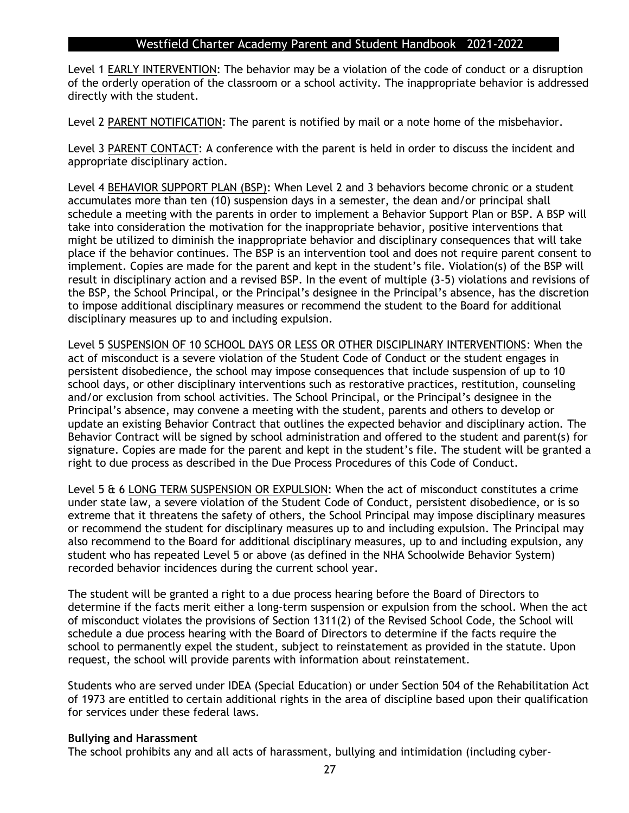Level 1 EARLY INTERVENTION: The behavior may be a violation of the code of conduct or a disruption of the orderly operation of the classroom or a school activity. The inappropriate behavior is addressed directly with the student.

Level 2 PARENT NOTIFICATION: The parent is notified by mail or a note home of the misbehavior.

Level 3 PARENT CONTACT: A conference with the parent is held in order to discuss the incident and appropriate disciplinary action.

Level 4 BEHAVIOR SUPPORT PLAN (BSP): When Level 2 and 3 behaviors become chronic or a student accumulates more than ten (10) suspension days in a semester, the dean and/or principal shall schedule a meeting with the parents in order to implement a Behavior Support Plan or BSP. A BSP will take into consideration the motivation for the inappropriate behavior, positive interventions that might be utilized to diminish the inappropriate behavior and disciplinary consequences that will take place if the behavior continues. The BSP is an intervention tool and does not require parent consent to implement. Copies are made for the parent and kept in the student's file. Violation(s) of the BSP will result in disciplinary action and a revised BSP. In the event of multiple (3-5) violations and revisions of the BSP, the School Principal, or the Principal's designee in the Principal's absence, has the discretion to impose additional disciplinary measures or recommend the student to the Board for additional disciplinary measures up to and including expulsion.

Level 5 SUSPENSION OF 10 SCHOOL DAYS OR LESS OR OTHER DISCIPLINARY INTERVENTIONS: When the act of misconduct is a severe violation of the Student Code of Conduct or the student engages in persistent disobedience, the school may impose consequences that include suspension of up to 10 school days, or other disciplinary interventions such as restorative practices, restitution, counseling and/or exclusion from school activities. The School Principal, or the Principal's designee in the Principal's absence, may convene a meeting with the student, parents and others to develop or update an existing Behavior Contract that outlines the expected behavior and disciplinary action. The Behavior Contract will be signed by school administration and offered to the student and parent(s) for signature. Copies are made for the parent and kept in the student's file. The student will be granted a right to due process as described in the Due Process Procedures of this Code of Conduct.

Level 5 & 6 LONG TERM SUSPENSION OR EXPULSION: When the act of misconduct constitutes a crime under state law, a severe violation of the Student Code of Conduct, persistent disobedience, or is so extreme that it threatens the safety of others, the School Principal may impose disciplinary measures or recommend the student for disciplinary measures up to and including expulsion. The Principal may also recommend to the Board for additional disciplinary measures, up to and including expulsion, any student who has repeated Level 5 or above (as defined in the NHA Schoolwide Behavior System) recorded behavior incidences during the current school year.

The student will be granted a right to a due process hearing before the Board of Directors to determine if the facts merit either a long-term suspension or expulsion from the school. When the act of misconduct violates the provisions of Section 1311(2) of the Revised School Code, the School will schedule a due process hearing with the Board of Directors to determine if the facts require the school to permanently expel the student, subject to reinstatement as provided in the statute. Upon request, the school will provide parents with information about reinstatement.

Students who are served under IDEA (Special Education) or under Section 504 of the Rehabilitation Act of 1973 are entitled to certain additional rights in the area of discipline based upon their qualification for services under these federal laws.

#### **Bullying and Harassment**

The school prohibits any and all acts of harassment, bullying and intimidation (including cyber-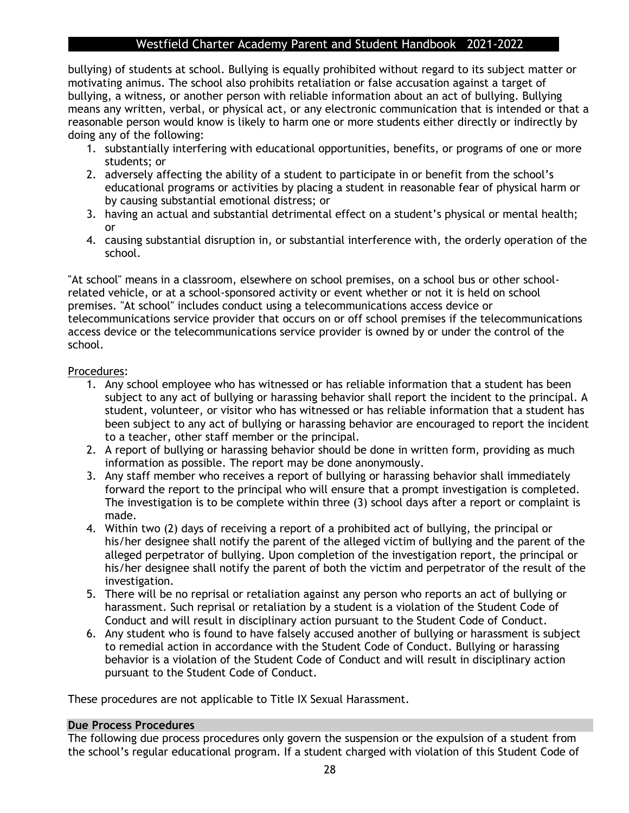bullying) of students at school. Bullying is equally prohibited without regard to its subject matter or motivating animus. The school also prohibits retaliation or false accusation against a target of bullying, a witness, or another person with reliable information about an act of bullying. Bullying means any written, verbal, or physical act, or any electronic communication that is intended or that a reasonable person would know is likely to harm one or more students either directly or indirectly by doing any of the following:

- 1. substantially interfering with educational opportunities, benefits, or programs of one or more students; or
- 2. adversely affecting the ability of a student to participate in or benefit from the school's educational programs or activities by placing a student in reasonable fear of physical harm or by causing substantial emotional distress; or
- 3. having an actual and substantial detrimental effect on a student's physical or mental health; or
- 4. causing substantial disruption in, or substantial interference with, the orderly operation of the school.

"At school" means in a classroom, elsewhere on school premises, on a school bus or other schoolrelated vehicle, or at a school-sponsored activity or event whether or not it is held on school premises. "At school" includes conduct using a telecommunications access device or telecommunications service provider that occurs on or off school premises if the telecommunications access device or the telecommunications service provider is owned by or under the control of the school.

#### Procedures:

- 1. Any school employee who has witnessed or has reliable information that a student has been subject to any act of bullying or harassing behavior shall report the incident to the principal. A student, volunteer, or visitor who has witnessed or has reliable information that a student has been subject to any act of bullying or harassing behavior are encouraged to report the incident to a teacher, other staff member or the principal.
- 2. A report of bullying or harassing behavior should be done in written form, providing as much information as possible. The report may be done anonymously.
- 3. Any staff member who receives a report of bullying or harassing behavior shall immediately forward the report to the principal who will ensure that a prompt investigation is completed. The investigation is to be complete within three (3) school days after a report or complaint is made.
- 4. Within two (2) days of receiving a report of a prohibited act of bullying, the principal or his/her designee shall notify the parent of the alleged victim of bullying and the parent of the alleged perpetrator of bullying. Upon completion of the investigation report, the principal or his/her designee shall notify the parent of both the victim and perpetrator of the result of the investigation.
- 5. There will be no reprisal or retaliation against any person who reports an act of bullying or harassment. Such reprisal or retaliation by a student is a violation of the Student Code of Conduct and will result in disciplinary action pursuant to the Student Code of Conduct.
- 6. Any student who is found to have falsely accused another of bullying or harassment is subject to remedial action in accordance with the Student Code of Conduct. Bullying or harassing behavior is a violation of the Student Code of Conduct and will result in disciplinary action pursuant to the Student Code of Conduct.

These procedures are not applicable to Title IX Sexual Harassment.

#### **Due Process Procedures**

The following due process procedures only govern the suspension or the expulsion of a student from the school's regular educational program. If a student charged with violation of this Student Code of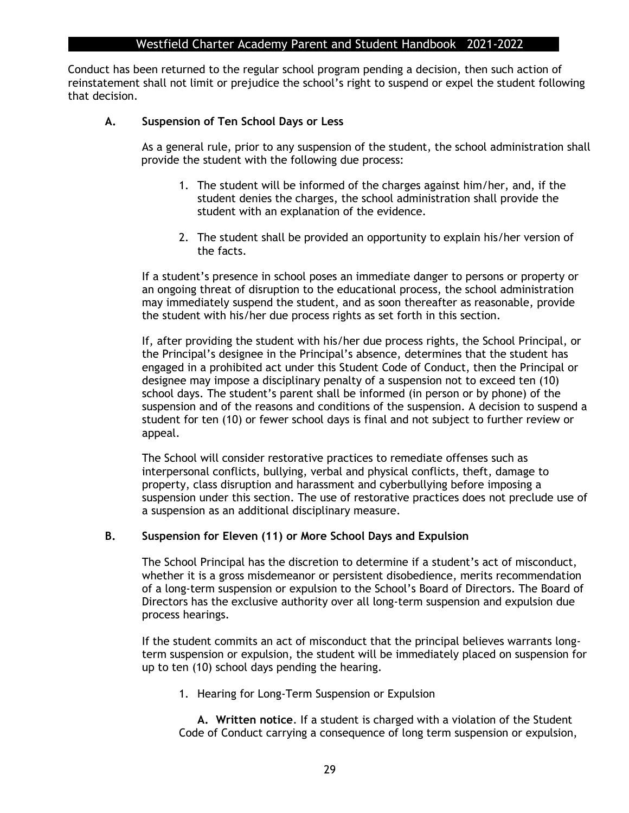Conduct has been returned to the regular school program pending a decision, then such action of reinstatement shall not limit or prejudice the school's right to suspend or expel the student following that decision.

#### **A. Suspension of Ten School Days or Less**

As a general rule, prior to any suspension of the student, the school administration shall provide the student with the following due process:

- 1. The student will be informed of the charges against him/her, and, if the student denies the charges, the school administration shall provide the student with an explanation of the evidence.
- 2. The student shall be provided an opportunity to explain his/her version of the facts.

If a student's presence in school poses an immediate danger to persons or property or an ongoing threat of disruption to the educational process, the school administration may immediately suspend the student, and as soon thereafter as reasonable, provide the student with his/her due process rights as set forth in this section.

If, after providing the student with his/her due process rights, the School Principal, or the Principal's designee in the Principal's absence, determines that the student has engaged in a prohibited act under this Student Code of Conduct, then the Principal or designee may impose a disciplinary penalty of a suspension not to exceed ten (10) school days. The student's parent shall be informed (in person or by phone) of the suspension and of the reasons and conditions of the suspension. A decision to suspend a student for ten (10) or fewer school days is final and not subject to further review or appeal.

The School will consider restorative practices to remediate offenses such as interpersonal conflicts, bullying, verbal and physical conflicts, theft, damage to property, class disruption and harassment and cyberbullying before imposing a suspension under this section. The use of restorative practices does not preclude use of a suspension as an additional disciplinary measure.

#### **B. Suspension for Eleven (11) or More School Days and Expulsion**

The School Principal has the discretion to determine if a student's act of misconduct, whether it is a gross misdemeanor or persistent disobedience, merits recommendation of a long-term suspension or expulsion to the School's Board of Directors. The Board of Directors has the exclusive authority over all long-term suspension and expulsion due process hearings.

If the student commits an act of misconduct that the principal believes warrants longterm suspension or expulsion, the student will be immediately placed on suspension for up to ten (10) school days pending the hearing.

1. Hearing for Long-Term Suspension or Expulsion

**A. Written notice**. If a student is charged with a violation of the Student Code of Conduct carrying a consequence of long term suspension or expulsion,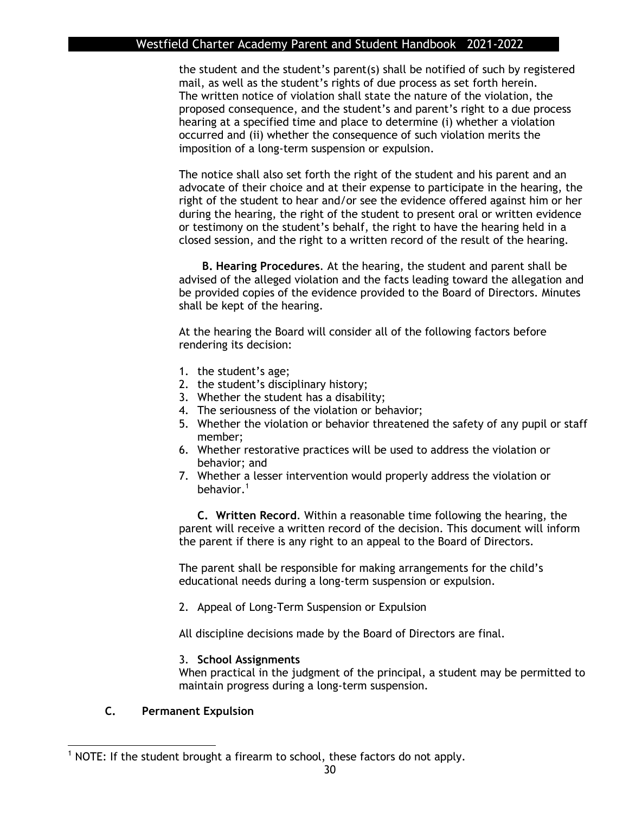the student and the student's parent(s) shall be notified of such by registered mail, as well as the student's rights of due process as set forth herein. The written notice of violation shall state the nature of the violation, the proposed consequence, and the student's and parent's right to a due process hearing at a specified time and place to determine (i) whether a violation occurred and (ii) whether the consequence of such violation merits the imposition of a long-term suspension or expulsion.

The notice shall also set forth the right of the student and his parent and an advocate of their choice and at their expense to participate in the hearing, the right of the student to hear and/or see the evidence offered against him or her during the hearing, the right of the student to present oral or written evidence or testimony on the student's behalf, the right to have the hearing held in a closed session, and the right to a written record of the result of the hearing.

**B. Hearing Procedures**. At the hearing, the student and parent shall be advised of the alleged violation and the facts leading toward the allegation and be provided copies of the evidence provided to the Board of Directors. Minutes shall be kept of the hearing.

At the hearing the Board will consider all of the following factors before rendering its decision:

- 1. the student's age;
- 2. the student's disciplinary history;
- 3. Whether the student has a disability;
- 4. The seriousness of the violation or behavior;
- 5. Whether the violation or behavior threatened the safety of any pupil or staff member;
- 6. Whether restorative practices will be used to address the violation or behavior; and
- 7. Whether a lesser intervention would properly address the violation or behavior.<sup>1</sup>

**C. Written Record**. Within a reasonable time following the hearing, the parent will receive a written record of the decision. This document will inform the parent if there is any right to an appeal to the Board of Directors.

The parent shall be responsible for making arrangements for the child's educational needs during a long-term suspension or expulsion.

2. Appeal of Long-Term Suspension or Expulsion

All discipline decisions made by the Board of Directors are final.

#### 3. **School Assignments**

When practical in the judgment of the principal, a student may be permitted to maintain progress during a long-term suspension.

#### **C. Permanent Expulsion**

 $1$  NOTE: If the student brought a firearm to school, these factors do not apply.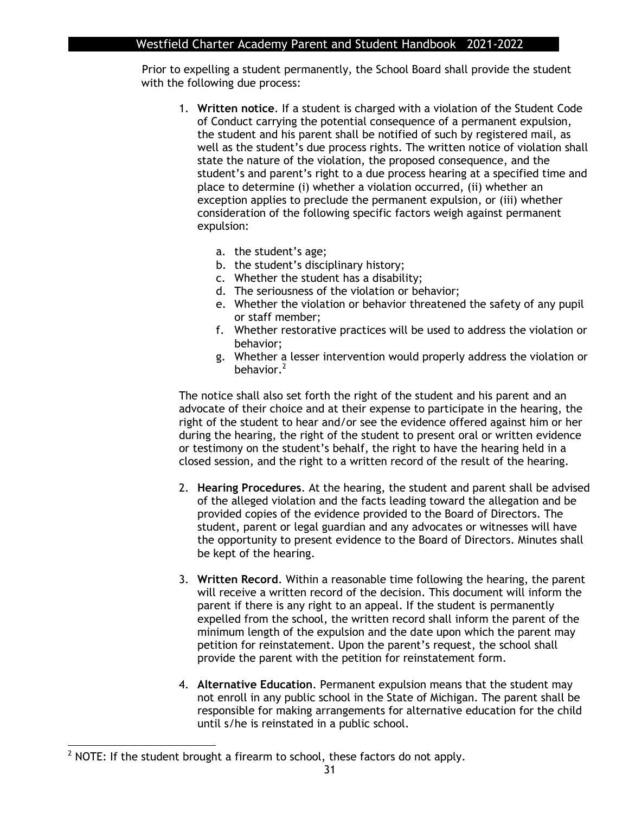Prior to expelling a student permanently, the School Board shall provide the student with the following due process:

- 1. **Written notice**. If a student is charged with a violation of the Student Code of Conduct carrying the potential consequence of a permanent expulsion, the student and his parent shall be notified of such by registered mail, as well as the student's due process rights. The written notice of violation shall state the nature of the violation, the proposed consequence, and the student's and parent's right to a due process hearing at a specified time and place to determine (i) whether a violation occurred, (ii) whether an exception applies to preclude the permanent expulsion, or (iii) whether consideration of the following specific factors weigh against permanent expulsion:
	- a. the student's age;
	- b. the student's disciplinary history;
	- c. Whether the student has a disability;
	- d. The seriousness of the violation or behavior;
	- e. Whether the violation or behavior threatened the safety of any pupil or staff member;
	- f. Whether restorative practices will be used to address the violation or behavior;
	- g. Whether a lesser intervention would properly address the violation or behavior.<sup>2</sup>

The notice shall also set forth the right of the student and his parent and an advocate of their choice and at their expense to participate in the hearing, the right of the student to hear and/or see the evidence offered against him or her during the hearing, the right of the student to present oral or written evidence or testimony on the student's behalf, the right to have the hearing held in a closed session, and the right to a written record of the result of the hearing.

- 2. **Hearing Procedures**. At the hearing, the student and parent shall be advised of the alleged violation and the facts leading toward the allegation and be provided copies of the evidence provided to the Board of Directors. The student, parent or legal guardian and any advocates or witnesses will have the opportunity to present evidence to the Board of Directors. Minutes shall be kept of the hearing.
- 3. **Written Record**. Within a reasonable time following the hearing, the parent will receive a written record of the decision. This document will inform the parent if there is any right to an appeal. If the student is permanently expelled from the school, the written record shall inform the parent of the minimum length of the expulsion and the date upon which the parent may petition for reinstatement. Upon the parent's request, the school shall provide the parent with the petition for reinstatement form.
- 4. **Alternative Education**. Permanent expulsion means that the student may not enroll in any public school in the State of Michigan. The parent shall be responsible for making arrangements for alternative education for the child until s/he is reinstated in a public school.

 $2$  NOTE: If the student brought a firearm to school, these factors do not apply.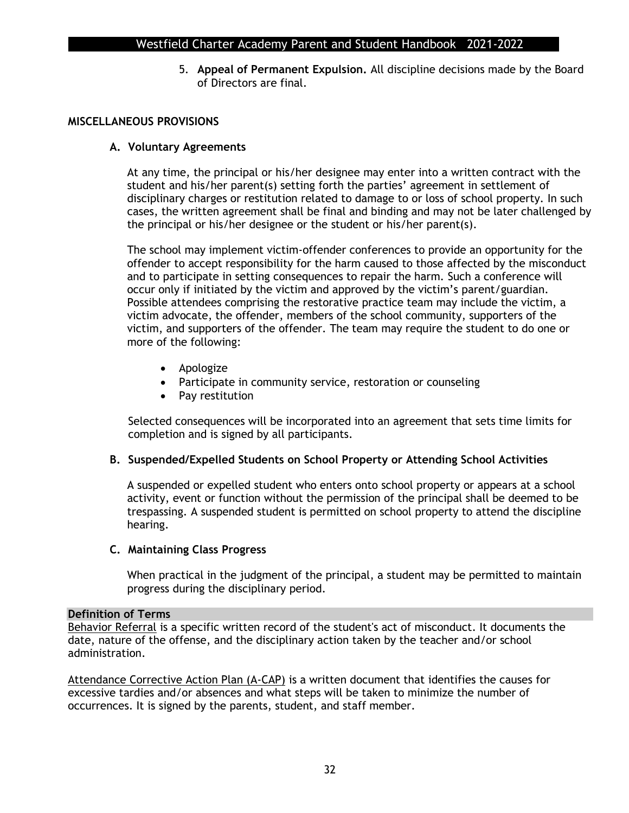5. **Appeal of Permanent Expulsion.** All discipline decisions made by the Board of Directors are final.

#### **MISCELLANEOUS PROVISIONS**

#### **A. Voluntary Agreements**

At any time, the principal or his/her designee may enter into a written contract with the student and his/her parent(s) setting forth the parties' agreement in settlement of disciplinary charges or restitution related to damage to or loss of school property. In such cases, the written agreement shall be final and binding and may not be later challenged by the principal or his/her designee or the student or his/her parent(s).

The school may implement victim-offender conferences to provide an opportunity for the offender to accept responsibility for the harm caused to those affected by the misconduct and to participate in setting consequences to repair the harm. Such a conference will occur only if initiated by the victim and approved by the victim's parent/guardian. Possible attendees comprising the restorative practice team may include the victim, a victim advocate, the offender, members of the school community, supporters of the victim, and supporters of the offender. The team may require the student to do one or more of the following:

- Apologize
- Participate in community service, restoration or counseling
- Pay restitution

Selected consequences will be incorporated into an agreement that sets time limits for completion and is signed by all participants.

#### **B. Suspended/Expelled Students on School Property or Attending School Activities**

A suspended or expelled student who enters onto school property or appears at a school activity, event or function without the permission of the principal shall be deemed to be trespassing. A suspended student is permitted on school property to attend the discipline hearing.

#### **C. Maintaining Class Progress**

When practical in the judgment of the principal, a student may be permitted to maintain progress during the disciplinary period.

#### **Definition of Terms**

Behavior Referral is a specific written record of the student's act of misconduct. It documents the date, nature of the offense, and the disciplinary action taken by the teacher and/or school administration.

Attendance Corrective Action Plan (A-CAP) is a written document that identifies the causes for excessive tardies and/or absences and what steps will be taken to minimize the number of occurrences. It is signed by the parents, student, and staff member.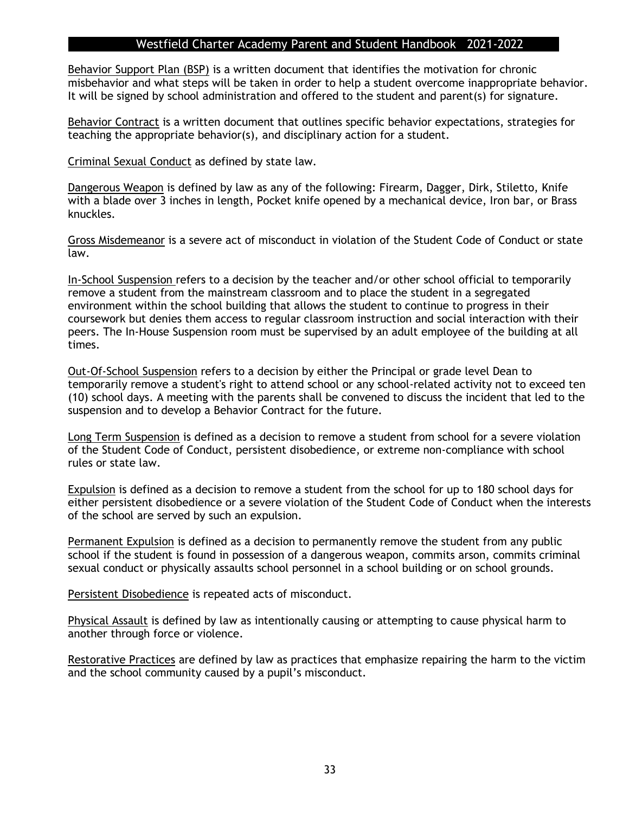Behavior Support Plan (BSP) is a written document that identifies the motivation for chronic misbehavior and what steps will be taken in order to help a student overcome inappropriate behavior. It will be signed by school administration and offered to the student and parent(s) for signature.

Behavior Contract is a written document that outlines specific behavior expectations, strategies for teaching the appropriate behavior(s), and disciplinary action for a student.

Criminal Sexual Conduct as defined by state law.

Dangerous Weapon is defined by law as any of the following: Firearm, Dagger, Dirk, Stiletto, Knife with a blade over 3 inches in length, Pocket knife opened by a mechanical device, Iron bar, or Brass knuckles.

Gross Misdemeanor is a severe act of misconduct in violation of the Student Code of Conduct or state law.

In-School Suspension refers to a decision by the teacher and/or other school official to temporarily remove a student from the mainstream classroom and to place the student in a segregated environment within the school building that allows the student to continue to progress in their coursework but denies them access to regular classroom instruction and social interaction with their peers. The In-House Suspension room must be supervised by an adult employee of the building at all times.

Out-Of-School Suspension refers to a decision by either the Principal or grade level Dean to temporarily remove a student's right to attend school or any school-related activity not to exceed ten (10) school days. A meeting with the parents shall be convened to discuss the incident that led to the suspension and to develop a Behavior Contract for the future.

Long Term Suspension is defined as a decision to remove a student from school for a severe violation of the Student Code of Conduct, persistent disobedience, or extreme non-compliance with school rules or state law.

Expulsion is defined as a decision to remove a student from the school for up to 180 school days for either persistent disobedience or a severe violation of the Student Code of Conduct when the interests of the school are served by such an expulsion.

Permanent Expulsion is defined as a decision to permanently remove the student from any public school if the student is found in possession of a dangerous weapon, commits arson, commits criminal sexual conduct or physically assaults school personnel in a school building or on school grounds.

Persistent Disobedience is repeated acts of misconduct.

Physical Assault is defined by law as intentionally causing or attempting to cause physical harm to another through force or violence.

Restorative Practices are defined by law as practices that emphasize repairing the harm to the victim and the school community caused by a pupil's misconduct.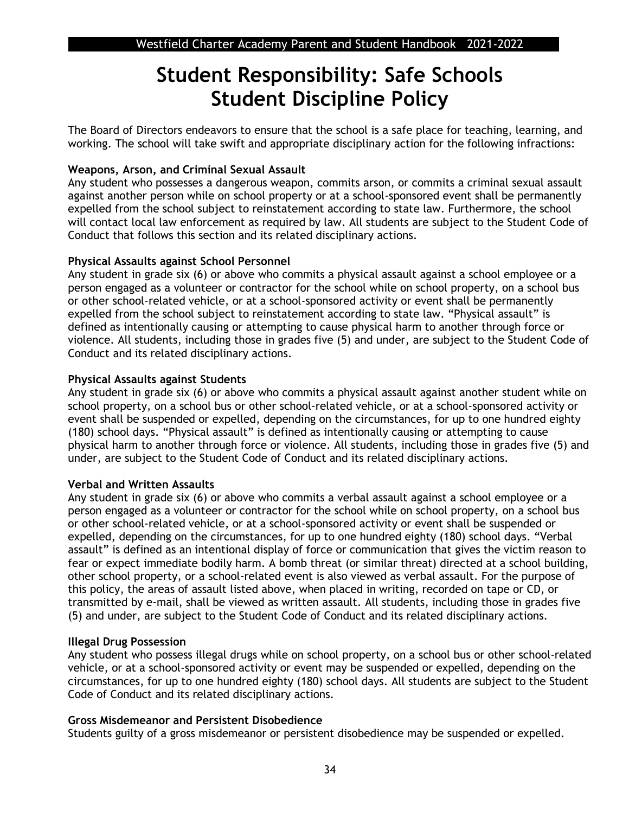## **Student Responsibility: Safe Schools Student Discipline Policy**

The Board of Directors endeavors to ensure that the school is a safe place for teaching, learning, and working. The school will take swift and appropriate disciplinary action for the following infractions:

#### **Weapons, Arson, and Criminal Sexual Assault**

Any student who possesses a dangerous weapon, commits arson, or commits a criminal sexual assault against another person while on school property or at a school-sponsored event shall be permanently expelled from the school subject to reinstatement according to state law. Furthermore, the school will contact local law enforcement as required by law. All students are subject to the Student Code of Conduct that follows this section and its related disciplinary actions.

#### **Physical Assaults against School Personnel**

Any student in grade six (6) or above who commits a physical assault against a school employee or a person engaged as a volunteer or contractor for the school while on school property, on a school bus or other school-related vehicle, or at a school-sponsored activity or event shall be permanently expelled from the school subject to reinstatement according to state law. "Physical assault" is defined as intentionally causing or attempting to cause physical harm to another through force or violence. All students, including those in grades five (5) and under, are subject to the Student Code of Conduct and its related disciplinary actions.

#### **Physical Assaults against Students**

Any student in grade six (6) or above who commits a physical assault against another student while on school property, on a school bus or other school-related vehicle, or at a school-sponsored activity or event shall be suspended or expelled, depending on the circumstances, for up to one hundred eighty (180) school days. "Physical assault" is defined as intentionally causing or attempting to cause physical harm to another through force or violence. All students, including those in grades five (5) and under, are subject to the Student Code of Conduct and its related disciplinary actions.

#### **Verbal and Written Assaults**

Any student in grade six (6) or above who commits a verbal assault against a school employee or a person engaged as a volunteer or contractor for the school while on school property, on a school bus or other school-related vehicle, or at a school-sponsored activity or event shall be suspended or expelled, depending on the circumstances, for up to one hundred eighty (180) school days. "Verbal assault" is defined as an intentional display of force or communication that gives the victim reason to fear or expect immediate bodily harm. A bomb threat (or similar threat) directed at a school building, other school property, or a school-related event is also viewed as verbal assault. For the purpose of this policy, the areas of assault listed above, when placed in writing, recorded on tape or CD, or transmitted by e-mail, shall be viewed as written assault. All students, including those in grades five (5) and under, are subject to the Student Code of Conduct and its related disciplinary actions.

#### **Illegal Drug Possession**

Any student who possess illegal drugs while on school property, on a school bus or other school-related vehicle, or at a school-sponsored activity or event may be suspended or expelled, depending on the circumstances, for up to one hundred eighty (180) school days. All students are subject to the Student Code of Conduct and its related disciplinary actions.

#### **Gross Misdemeanor and Persistent Disobedience**

Students guilty of a gross misdemeanor or persistent disobedience may be suspended or expelled.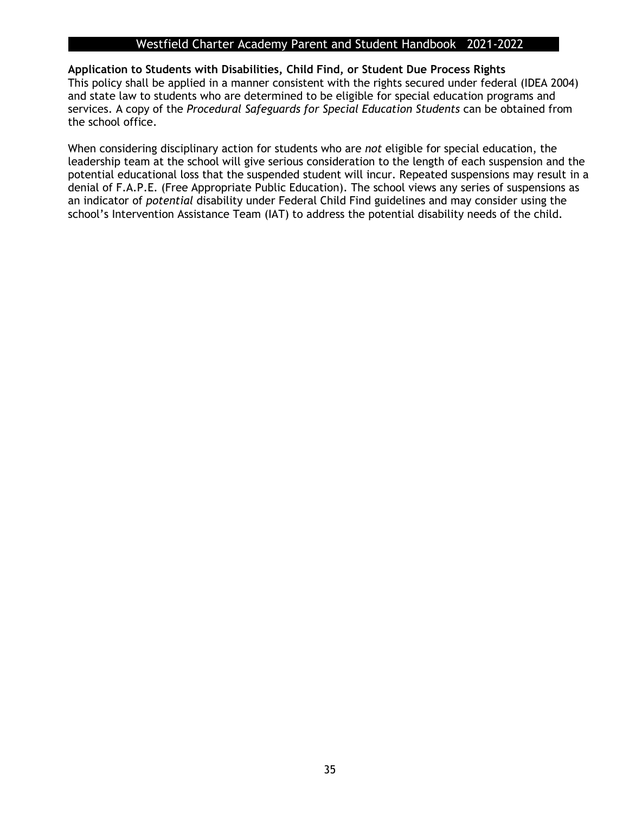#### **Application to Students with Disabilities, Child Find, or Student Due Process Rights**

This policy shall be applied in a manner consistent with the rights secured under federal (IDEA 2004) and state law to students who are determined to be eligible for special education programs and services. A copy of the *Procedural Safeguards for Special Education Students* can be obtained from the school office.

When considering disciplinary action for students who are *not* eligible for special education, the leadership team at the school will give serious consideration to the length of each suspension and the potential educational loss that the suspended student will incur. Repeated suspensions may result in a denial of F.A.P.E. (Free Appropriate Public Education). The school views any series of suspensions as an indicator of *potential* disability under Federal Child Find guidelines and may consider using the school's Intervention Assistance Team (IAT) to address the potential disability needs of the child.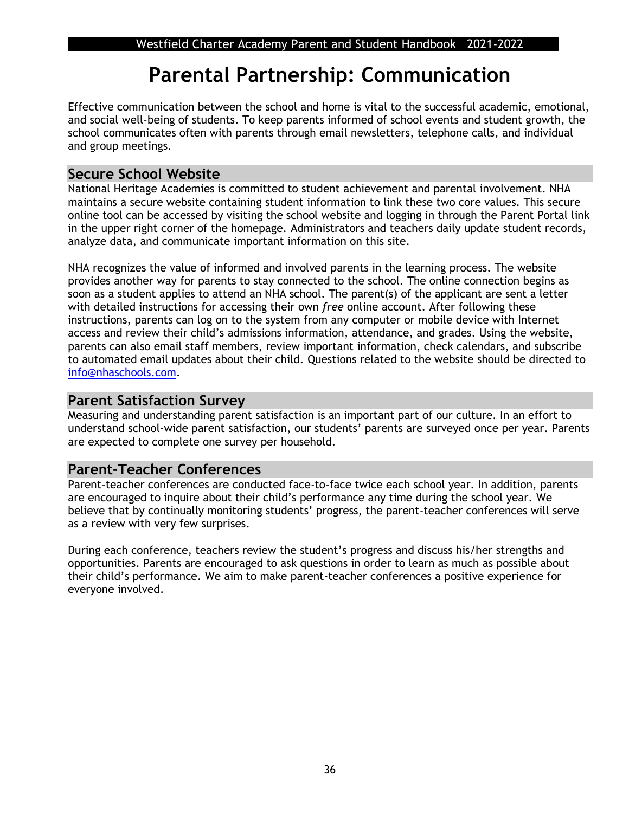## **Parental Partnership: Communication**

Effective communication between the school and home is vital to the successful academic, emotional, and social well-being of students. To keep parents informed of school events and student growth, the school communicates often with parents through email newsletters, telephone calls, and individual and group meetings.

## **Secure School Website**

National Heritage Academies is committed to student achievement and parental involvement. NHA maintains a secure website containing student information to link these two core values. This secure online tool can be accessed by visiting the school website and logging in through the Parent Portal link in the upper right corner of the homepage. Administrators and teachers daily update student records, analyze data, and communicate important information on this site.

NHA recognizes the value of informed and involved parents in the learning process. The website provides another way for parents to stay connected to the school. The online connection begins as soon as a student applies to attend an NHA school. The parent(s) of the applicant are sent a letter with detailed instructions for accessing their own *free* online account. After following these instructions, parents can log on to the system from any computer or mobile device with Internet access and review their child's admissions information, attendance, and grades. Using the website, parents can also email staff members, review important information, check calendars, and subscribe to automated email updates about their child. Questions related to the website should be directed to [info@nhaschools.com.](mailto:info@nhaschools.com)

## **Parent Satisfaction Survey**

Measuring and understanding parent satisfaction is an important part of our culture. In an effort to understand school-wide parent satisfaction, our students' parents are surveyed once per year. Parents are expected to complete one survey per household.

## **Parent-Teacher Conferences**

Parent-teacher conferences are conducted face-to-face twice each school year. In addition, parents are encouraged to inquire about their child's performance any time during the school year. We believe that by continually monitoring students' progress, the parent-teacher conferences will serve as a review with very few surprises.

During each conference, teachers review the student's progress and discuss his/her strengths and opportunities. Parents are encouraged to ask questions in order to learn as much as possible about their child's performance. We aim to make parent-teacher conferences a positive experience for everyone involved.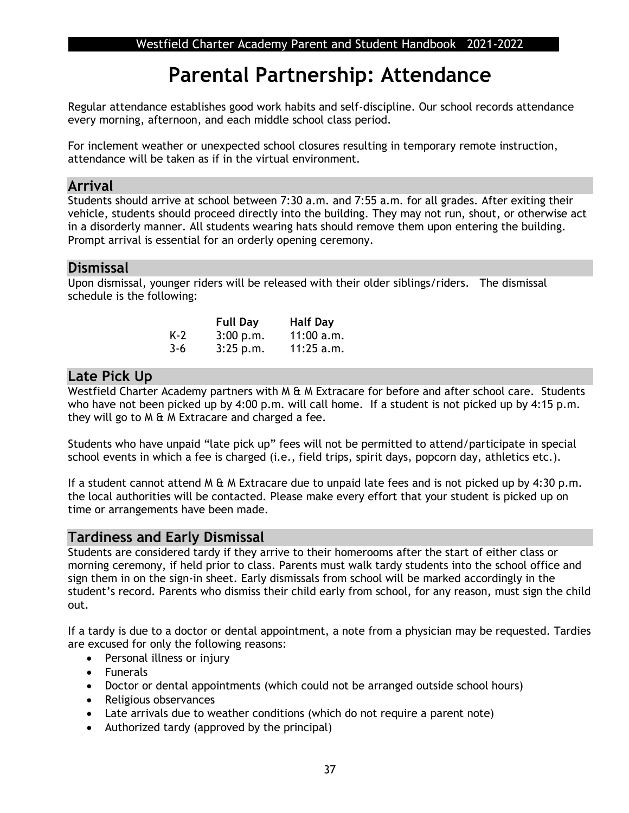## **Parental Partnership: Attendance**

Regular attendance establishes good work habits and self-discipline. Our school records attendance every morning, afternoon, and each middle school class period.

For inclement weather or unexpected school closures resulting in temporary remote instruction, attendance will be taken as if in the virtual environment.

#### **Arrival**

Students should arrive at school between 7:30 a.m. and 7:55 a.m. for all grades. After exiting their vehicle, students should proceed directly into the building. They may not run, shout, or otherwise act in a disorderly manner. All students wearing hats should remove them upon entering the building. Prompt arrival is essential for an orderly opening ceremony.

#### **Dismissal**

Upon dismissal, younger riders will be released with their older siblings/riders. The dismissal schedule is the following:

|     | <b>Full Day</b> | <b>Half Day</b> |
|-----|-----------------|-----------------|
| K-2 | 3:00 p.m.       | 11:00 a.m.      |
| 3-6 | 3:25 p.m.       | 11:25 a.m.      |

## **Late Pick Up**

Westfield Charter Academy partners with M & M Extracare for before and after school care. Students who have not been picked up by 4:00 p.m. will call home. If a student is not picked up by 4:15 p.m. they will go to M & M Extracare and charged a fee.

Students who have unpaid "late pick up" fees will not be permitted to attend/participate in special school events in which a fee is charged (i.e., field trips, spirit days, popcorn day, athletics etc.).

If a student cannot attend M & M Extracare due to unpaid late fees and is not picked up by 4:30 p.m. the local authorities will be contacted. Please make every effort that your student is picked up on time or arrangements have been made.

## **Tardiness and Early Dismissal**

Students are considered tardy if they arrive to their homerooms after the start of either class or morning ceremony, if held prior to class. Parents must walk tardy students into the school office and sign them in on the sign-in sheet. Early dismissals from school will be marked accordingly in the student's record. Parents who dismiss their child early from school, for any reason, must sign the child out.

If a tardy is due to a doctor or dental appointment, a note from a physician may be requested. Tardies are excused for only the following reasons:

- Personal illness or injury
- Funerals
- Doctor or dental appointments (which could not be arranged outside school hours)
- Religious observances
- Late arrivals due to weather conditions (which do not require a parent note)
- Authorized tardy (approved by the principal)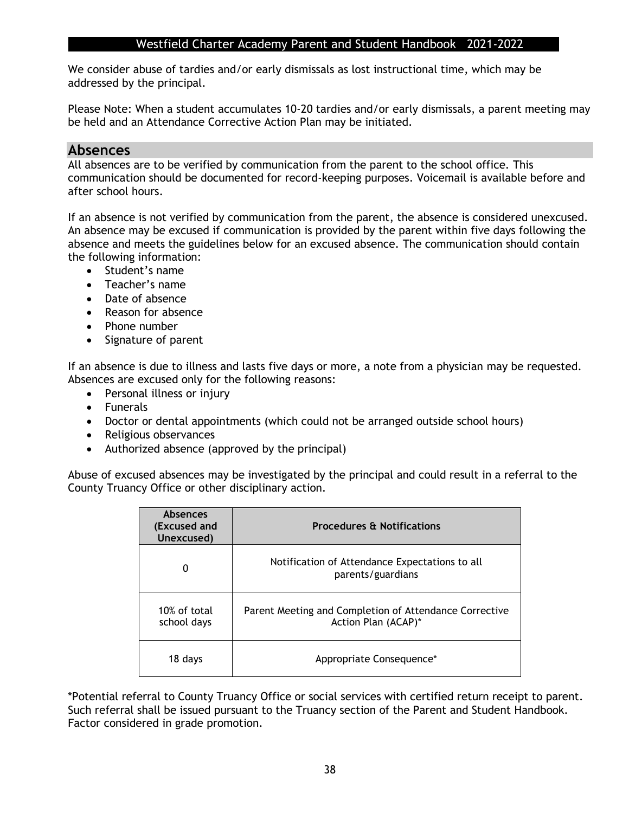We consider abuse of tardies and/or early dismissals as lost instructional time, which may be addressed by the principal.

Please Note: When a student accumulates 10-20 tardies and/or early dismissals, a parent meeting may be held and an Attendance Corrective Action Plan may be initiated.

#### **Absences**

All absences are to be verified by communication from the parent to the school office. This communication should be documented for record-keeping purposes. Voicemail is available before and after school hours.

If an absence is not verified by communication from the parent, the absence is considered unexcused. An absence may be excused if communication is provided by the parent within five days following the absence and meets the guidelines below for an excused absence. The communication should contain the following information:

- Student's name
- Teacher's name
- Date of absence
- Reason for absence
- Phone number
- Signature of parent

If an absence is due to illness and lasts five days or more, a note from a physician may be requested. Absences are excused only for the following reasons:

- Personal illness or injury
- Funerals
- Doctor or dental appointments (which could not be arranged outside school hours)
- Religious observances
- Authorized absence (approved by the principal)

Abuse of excused absences may be investigated by the principal and could result in a referral to the County Truancy Office or other disciplinary action.

| <b>Absences</b><br>(Excused and<br>Unexcused) | <b>Procedures &amp; Notifications</b>                                         |  |
|-----------------------------------------------|-------------------------------------------------------------------------------|--|
| 0                                             | Notification of Attendance Expectations to all<br>parents/guardians           |  |
| $10\%$ of total<br>school days                | Parent Meeting and Completion of Attendance Corrective<br>Action Plan (ACAP)* |  |
| 18 days                                       | Appropriate Consequence*                                                      |  |

\*Potential referral to County Truancy Office or social services with certified return receipt to parent. Such referral shall be issued pursuant to the Truancy section of the Parent and Student Handbook. Factor considered in grade promotion.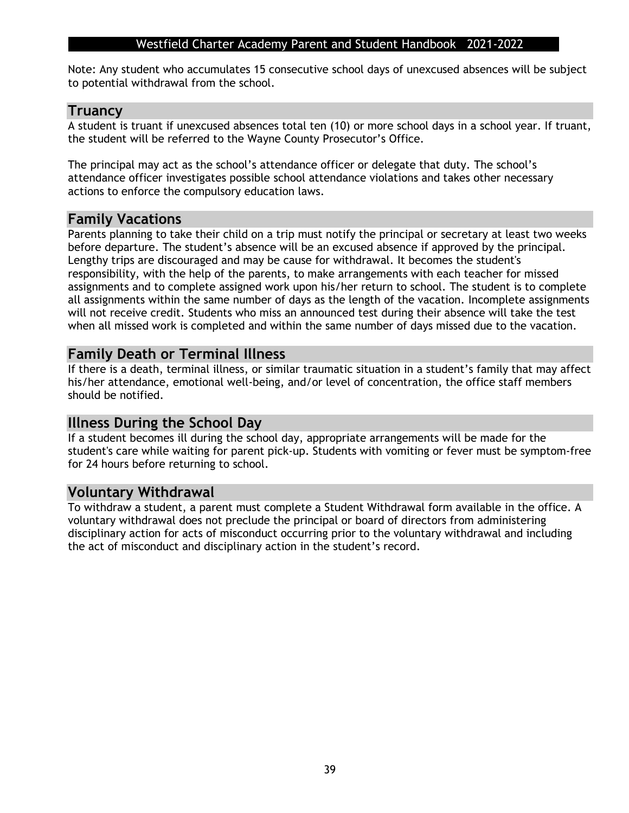Note: Any student who accumulates 15 consecutive school days of unexcused absences will be subject to potential withdrawal from the school.

#### **Truancy**

A student is truant if unexcused absences total ten (10) or more school days in a school year. If truant, the student will be referred to the Wayne County Prosecutor's Office.

The principal may act as the school's attendance officer or delegate that duty. The school's attendance officer investigates possible school attendance violations and takes other necessary actions to enforce the compulsory education laws.

#### **Family Vacations**

Parents planning to take their child on a trip must notify the principal or secretary at least two weeks before departure. The student's absence will be an excused absence if approved by the principal. Lengthy trips are discouraged and may be cause for withdrawal. It becomes the student's responsibility, with the help of the parents, to make arrangements with each teacher for missed assignments and to complete assigned work upon his/her return to school. The student is to complete all assignments within the same number of days as the length of the vacation. Incomplete assignments will not receive credit. Students who miss an announced test during their absence will take the test when all missed work is completed and within the same number of days missed due to the vacation.

#### **Family Death or Terminal Illness**

If there is a death, terminal illness, or similar traumatic situation in a student's family that may affect his/her attendance, emotional well-being, and/or level of concentration, the office staff members should be notified.

#### **Illness During the School Day**

If a student becomes ill during the school day, appropriate arrangements will be made for the student's care while waiting for parent pick-up. Students with vomiting or fever must be symptom-free for 24 hours before returning to school.

#### **Voluntary Withdrawal**

To withdraw a student, a parent must complete a Student Withdrawal form available in the office. A voluntary withdrawal does not preclude the principal or board of directors from administering disciplinary action for acts of misconduct occurring prior to the voluntary withdrawal and including the act of misconduct and disciplinary action in the student's record.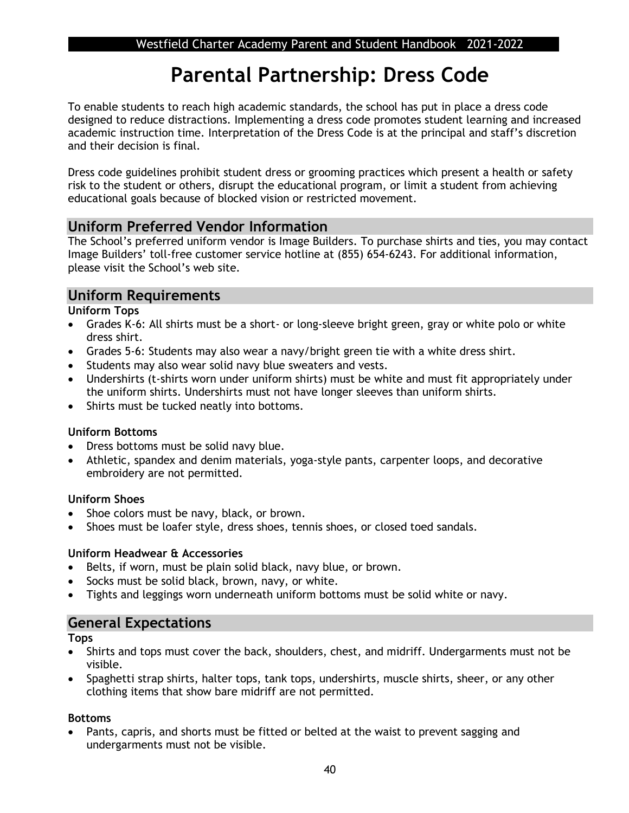## **Parental Partnership: Dress Code**

To enable students to reach high academic standards, the school has put in place a dress code designed to reduce distractions. Implementing a dress code promotes student learning and increased academic instruction time. Interpretation of the Dress Code is at the principal and staff's discretion and their decision is final.

Dress code guidelines prohibit student dress or grooming practices which present a health or safety risk to the student or others, disrupt the educational program, or limit a student from achieving educational goals because of blocked vision or restricted movement.

## **Uniform Preferred Vendor Information**

The School's preferred uniform vendor is Image Builders. To purchase shirts and ties, you may contact Image Builders' toll-free customer service hotline at (855) 654-6243. For additional information, please visit the School's web site.

## **Uniform Requirements**

**Uniform Tops**

- Grades K-6: All shirts must be a short- or long-sleeve bright green, gray or white polo or white dress shirt.
- Grades 5-6: Students may also wear a navy/bright green tie with a white dress shirt.
- Students may also wear solid navy blue sweaters and vests.
- Undershirts (t-shirts worn under uniform shirts) must be white and must fit appropriately under the uniform shirts. Undershirts must not have longer sleeves than uniform shirts.
- Shirts must be tucked neatly into bottoms.

#### **Uniform Bottoms**

- Dress bottoms must be solid navy blue.
- Athletic, spandex and denim materials, yoga-style pants, carpenter loops, and decorative embroidery are not permitted.

#### **Uniform Shoes**

- Shoe colors must be navy, black, or brown.
- Shoes must be loafer style, dress shoes, tennis shoes, or closed toed sandals.

#### **Uniform Headwear & Accessories**

- Belts, if worn, must be plain solid black, navy blue, or brown.
- Socks must be solid black, brown, navy, or white.
- Tights and leggings worn underneath uniform bottoms must be solid white or navy.

## **General Expectations**

**Tops**

- Shirts and tops must cover the back, shoulders, chest, and midriff. Undergarments must not be visible.
- Spaghetti strap shirts, halter tops, tank tops, undershirts, muscle shirts, sheer, or any other clothing items that show bare midriff are not permitted.

#### **Bottoms**

• Pants, capris, and shorts must be fitted or belted at the waist to prevent sagging and undergarments must not be visible.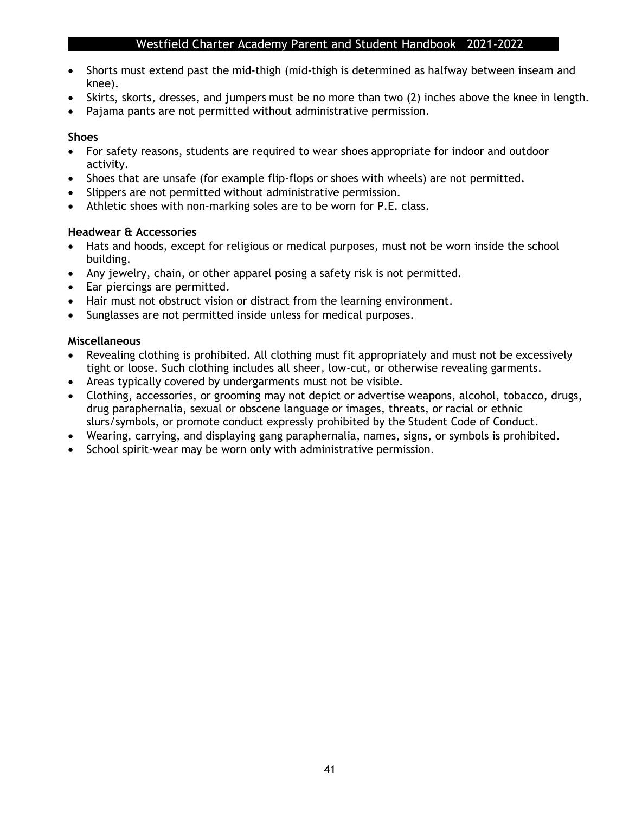- Shorts must extend past the mid-thigh (mid-thigh is determined as halfway between inseam and knee).
- Skirts, skorts, dresses, and jumpers must be no more than two (2) inches above the knee in length.
- Pajama pants are not permitted without administrative permission.

#### **Shoes**

- For safety reasons, students are required to wear shoes appropriate for indoor and outdoor activity.
- Shoes that are unsafe (for example flip-flops or shoes with wheels) are not permitted.
- Slippers are not permitted without administrative permission.
- Athletic shoes with non-marking soles are to be worn for P.E. class.

#### **Headwear & Accessories**

- Hats and hoods, except for religious or medical purposes, must not be worn inside the school building.
- Any jewelry, chain, or other apparel posing a safety risk is not permitted.
- Ear piercings are permitted.
- Hair must not obstruct vision or distract from the learning environment.
- Sunglasses are not permitted inside unless for medical purposes.

#### **Miscellaneous**

- Revealing clothing is prohibited. All clothing must fit appropriately and must not be excessively tight or loose. Such clothing includes all sheer, low-cut, or otherwise revealing garments.
- Areas typically covered by undergarments must not be visible.
- Clothing, accessories, or grooming may not depict or advertise weapons, alcohol, tobacco, drugs, drug paraphernalia, sexual or obscene language or images, threats, or racial or ethnic slurs/symbols, or promote conduct expressly prohibited by the Student Code of Conduct.
- Wearing, carrying, and displaying gang paraphernalia, names, signs, or symbols is prohibited.
- School spirit-wear may be worn only with administrative permission.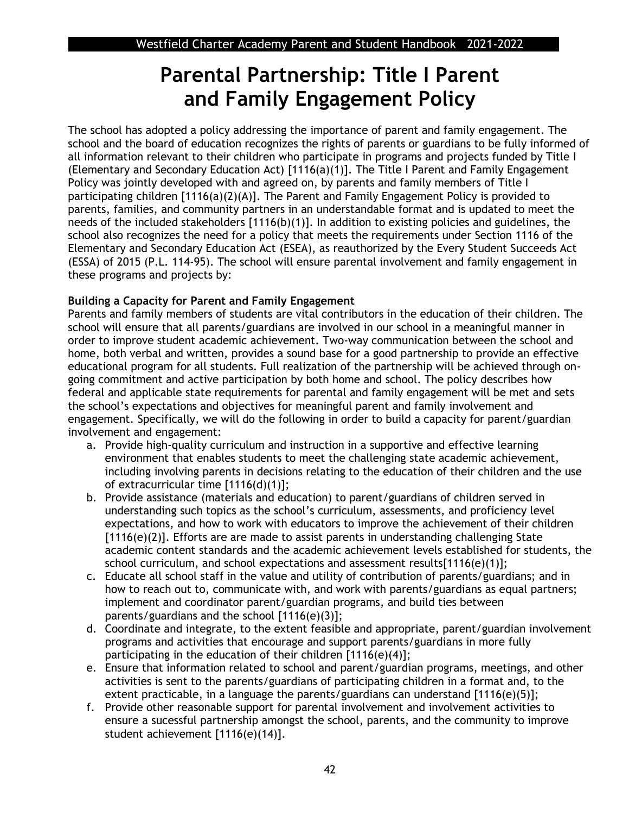## **Parental Partnership: Title I Parent and Family Engagement Policy**

The school has adopted a policy addressing the importance of parent and family engagement. The school and the board of education recognizes the rights of parents or guardians to be fully informed of all information relevant to their children who participate in programs and projects funded by Title I (Elementary and Secondary Education Act) [1116(a)(1)]. The Title I Parent and Family Engagement Policy was jointly developed with and agreed on, by parents and family members of Title I participating children [1116(a)(2)(A)]. The Parent and Family Engagement Policy is provided to parents, families, and community partners in an understandable format and is updated to meet the needs of the included stakeholders [1116(b)(1)]. In addition to existing policies and guidelines, the school also recognizes the need for a policy that meets the requirements under Section 1116 of the Elementary and Secondary Education Act (ESEA), as reauthorized by the Every Student Succeeds Act (ESSA) of 2015 (P.L. 114-95). The school will ensure parental involvement and family engagement in these programs and projects by:

#### **Building a Capacity for Parent and Family Engagement**

Parents and family members of students are vital contributors in the education of their children. The school will ensure that all parents/guardians are involved in our school in a meaningful manner in order to improve student academic achievement. Two-way communication between the school and home, both verbal and written, provides a sound base for a good partnership to provide an effective educational program for all students. Full realization of the partnership will be achieved through ongoing commitment and active participation by both home and school. The policy describes how federal and applicable state requirements for parental and family engagement will be met and sets the school's expectations and objectives for meaningful parent and family involvement and engagement. Specifically, we will do the following in order to build a capacity for parent/guardian involvement and engagement:

- a. Provide high-quality curriculum and instruction in a supportive and effective learning environment that enables students to meet the challenging state academic achievement, including involving parents in decisions relating to the education of their children and the use of extracurricular time [1116(d)(1)];
- b. Provide assistance (materials and education) to parent/guardians of children served in understanding such topics as the school's curriculum, assessments, and proficiency level expectations, and how to work with educators to improve the achievement of their children [1116(e)(2)]. Efforts are are made to assist parents in understanding challenging State academic content standards and the academic achievement levels established for students, the school curriculum, and school expectations and assessment results $[1116(e)(1)]$ ;
- c. Educate all school staff in the value and utility of contribution of parents/guardians; and in how to reach out to, communicate with, and work with parents/guardians as equal partners; implement and coordinator parent/guardian programs, and build ties between parents/guardians and the school [1116(e)(3)];
- d. Coordinate and integrate, to the extent feasible and appropriate, parent/guardian involvement programs and activities that encourage and support parents/guardians in more fully participating in the education of their children [1116(e)(4)];
- e. Ensure that information related to school and parent/guardian programs, meetings, and other activities is sent to the parents/guardians of participating children in a format and, to the extent practicable, in a language the parents/guardians can understand [1116(e)(5)];
- f. Provide other reasonable support for parental involvement and involvement activities to ensure a sucessful partnership amongst the school, parents, and the community to improve student achievement [1116(e)(14)].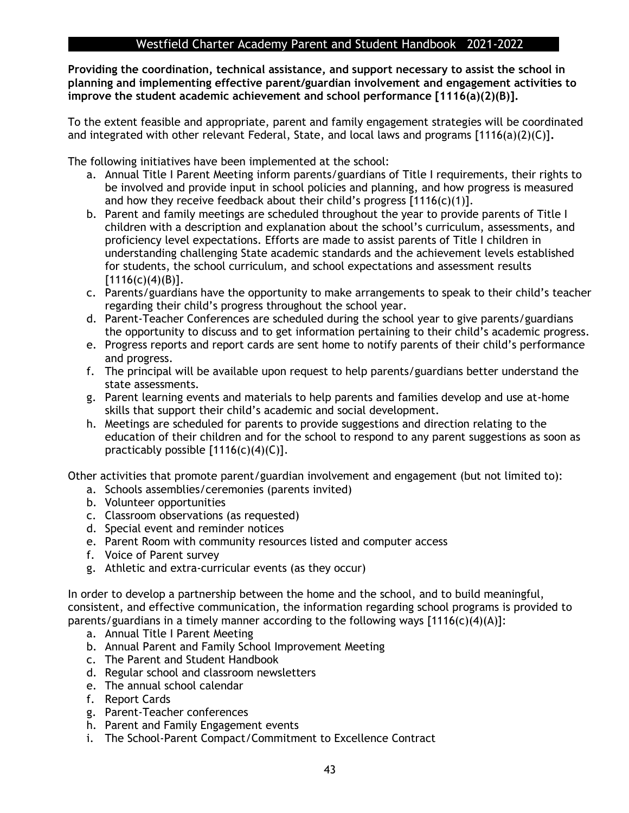**Providing the coordination, technical assistance, and support necessary to assist the school in planning and implementing effective parent/guardian involvement and engagement activities to improve the student academic achievement and school performance [1116(a)(2)(B)].** 

To the extent feasible and appropriate, parent and family engagement strategies will be coordinated and integrated with other relevant Federal, State, and local laws and programs [1116(a)(2)(C)]**.** 

The following initiatives have been implemented at the school:

- a. Annual Title I Parent Meeting inform parents/guardians of Title I requirements, their rights to be involved and provide input in school policies and planning, and how progress is measured and how they receive feedback about their child's progress  $[1116(c)(1)].$
- b. Parent and family meetings are scheduled throughout the year to provide parents of Title I children with a description and explanation about the school's curriculum, assessments, and proficiency level expectations. Efforts are made to assist parents of Title I children in understanding challenging State academic standards and the achievement levels established for students, the school curriculum, and school expectations and assessment results  $[1116(c)(4)(B)].$
- c. Parents/guardians have the opportunity to make arrangements to speak to their child's teacher regarding their child's progress throughout the school year.
- d. Parent-Teacher Conferences are scheduled during the school year to give parents/guardians the opportunity to discuss and to get information pertaining to their child's academic progress.
- e. Progress reports and report cards are sent home to notify parents of their child's performance and progress.
- f. The principal will be available upon request to help parents/guardians better understand the state assessments.
- g. Parent learning events and materials to help parents and families develop and use at-home skills that support their child's academic and social development.
- h. Meetings are scheduled for parents to provide suggestions and direction relating to the education of their children and for the school to respond to any parent suggestions as soon as practicably possible  $[1116(c)(4)(C)].$

Other activities that promote parent/guardian involvement and engagement (but not limited to):

- a. Schools assemblies/ceremonies (parents invited)
- b. Volunteer opportunities
- c. Classroom observations (as requested)
- d. Special event and reminder notices
- e. Parent Room with community resources listed and computer access
- f. Voice of Parent survey
- g. Athletic and extra-curricular events (as they occur)

In order to develop a partnership between the home and the school, and to build meaningful, consistent, and effective communication, the information regarding school programs is provided to parents/guardians in a timely manner according to the following ways  $[1116(c)(4)(A)]$ :

- a. Annual Title I Parent Meeting
- b. Annual Parent and Family School Improvement Meeting
- c. The Parent and Student Handbook
- d. Regular school and classroom newsletters
- e. The annual school calendar
- f. Report Cards
- g. Parent-Teacher conferences
- h. Parent and Family Engagement events
- i. The School-Parent Compact/Commitment to Excellence Contract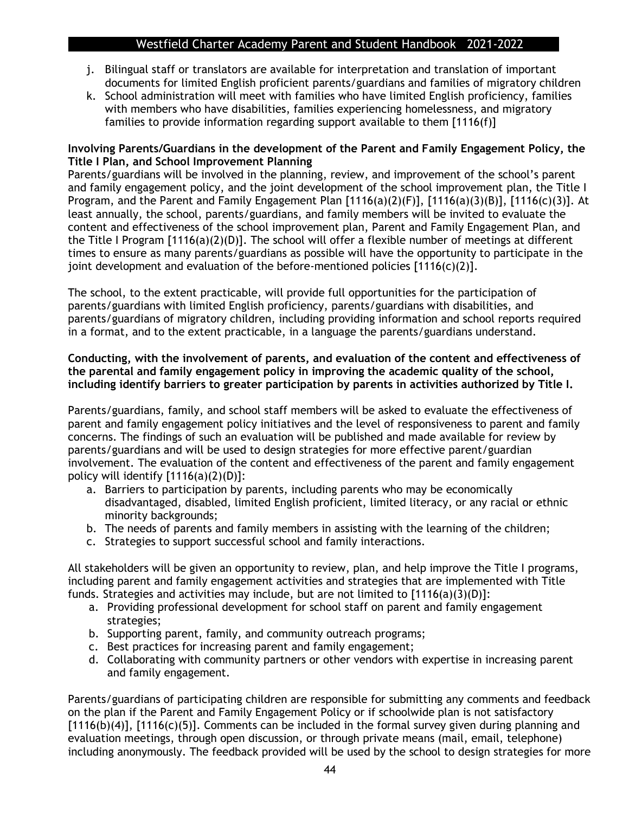- j. Bilingual staff or translators are available for interpretation and translation of important documents for limited English proficient parents/guardians and families of migratory children
- k. School administration will meet with families who have limited English proficiency, families with members who have disabilities, families experiencing homelessness, and migratory families to provide information regarding support available to them [1116(f)]

#### **Involving Parents/Guardians in the development of the Parent and Family Engagement Policy, the Title I Plan, and School Improvement Planning**

Parents/guardians will be involved in the planning, review, and improvement of the school's parent and family engagement policy, and the joint development of the school improvement plan, the Title I Program, and the Parent and Family Engagement Plan [1116(a)(2)(F)], [1116(a)(3)(B)], [1116(c)(3)]. At least annually, the school, parents/guardians, and family members will be invited to evaluate the content and effectiveness of the school improvement plan, Parent and Family Engagement Plan, and the Title I Program [1116(a)(2)(D)]. The school will offer a flexible number of meetings at different times to ensure as many parents/guardians as possible will have the opportunity to participate in the joint development and evaluation of the before-mentioned policies  $[1116(c)(2)].$ 

The school, to the extent practicable, will provide full opportunities for the participation of parents/guardians with limited English proficiency, parents/guardians with disabilities, and parents/guardians of migratory children, including providing information and school reports required in a format, and to the extent practicable, in a language the parents/guardians understand.

#### **Conducting, with the involvement of parents, and evaluation of the content and effectiveness of the parental and family engagement policy in improving the academic quality of the school, including identify barriers to greater participation by parents in activities authorized by Title I.**

Parents/guardians, family, and school staff members will be asked to evaluate the effectiveness of parent and family engagement policy initiatives and the level of responsiveness to parent and family concerns. The findings of such an evaluation will be published and made available for review by parents/guardians and will be used to design strategies for more effective parent/guardian involvement. The evaluation of the content and effectiveness of the parent and family engagement policy will identify  $[1116(a)(2)(D)]$ :

- a. Barriers to participation by parents, including parents who may be economically disadvantaged, disabled, limited English proficient, limited literacy, or any racial or ethnic minority backgrounds;
- b. The needs of parents and family members in assisting with the learning of the children;
- c. Strategies to support successful school and family interactions.

All stakeholders will be given an opportunity to review, plan, and help improve the Title I programs, including parent and family engagement activities and strategies that are implemented with Title funds. Strategies and activities may include, but are not limited to  $[1116(a)(3)(D)]$ :

- a. Providing professional development for school staff on parent and family engagement strategies;
- b. Supporting parent, family, and community outreach programs;
- c. Best practices for increasing parent and family engagement;
- d. Collaborating with community partners or other vendors with expertise in increasing parent and family engagement.

Parents/guardians of participating children are responsible for submitting any comments and feedback on the plan if the Parent and Family Engagement Policy or if schoolwide plan is not satisfactory [1116(b)(4)], [1116(c)(5)]. Comments can be included in the formal survey given during planning and evaluation meetings, through open discussion, or through private means (mail, email, telephone) including anonymously. The feedback provided will be used by the school to design strategies for more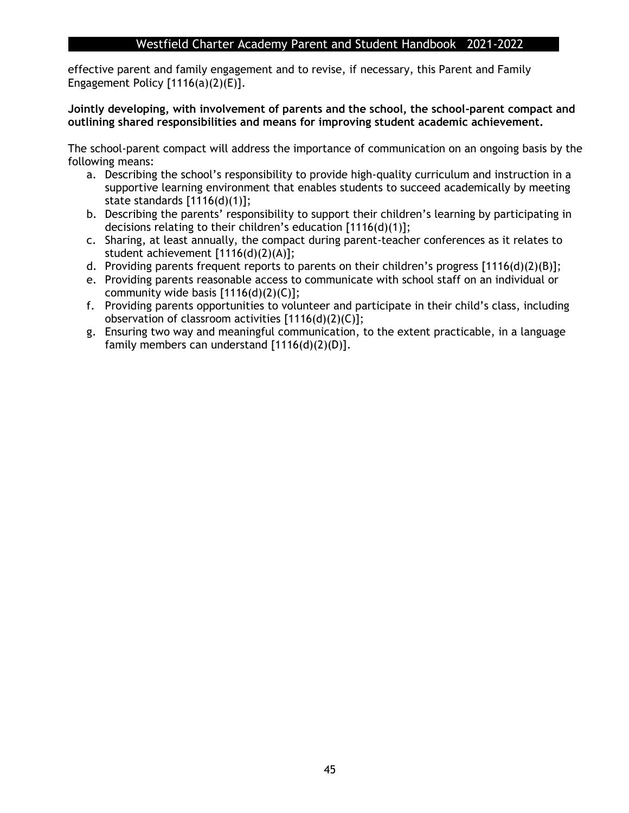effective parent and family engagement and to revise, if necessary, this Parent and Family Engagement Policy  $[1116(a)(2)(E)].$ 

#### **Jointly developing, with involvement of parents and the school, the school-parent compact and outlining shared responsibilities and means for improving student academic achievement.**

The school-parent compact will address the importance of communication on an ongoing basis by the following means:

- a. Describing the school's responsibility to provide high-quality curriculum and instruction in a supportive learning environment that enables students to succeed academically by meeting state standards [1116(d)(1)];
- b. Describing the parents' responsibility to support their children's learning by participating in decisions relating to their children's education [1116(d)(1)];
- c. Sharing, at least annually, the compact during parent-teacher conferences as it relates to student achievement [1116(d)(2)(A)];
- d. Providing parents frequent reports to parents on their children's progress [1116(d)(2)(B)];
- e. Providing parents reasonable access to communicate with school staff on an individual or community wide basis  $[1116(d)(2)(C)]$ ;
- f. Providing parents opportunities to volunteer and participate in their child's class, including observation of classroom activities [1116(d)(2)(C)];
- g. Ensuring two way and meaningful communication, to the extent practicable, in a language family members can understand [1116(d)(2)(D)].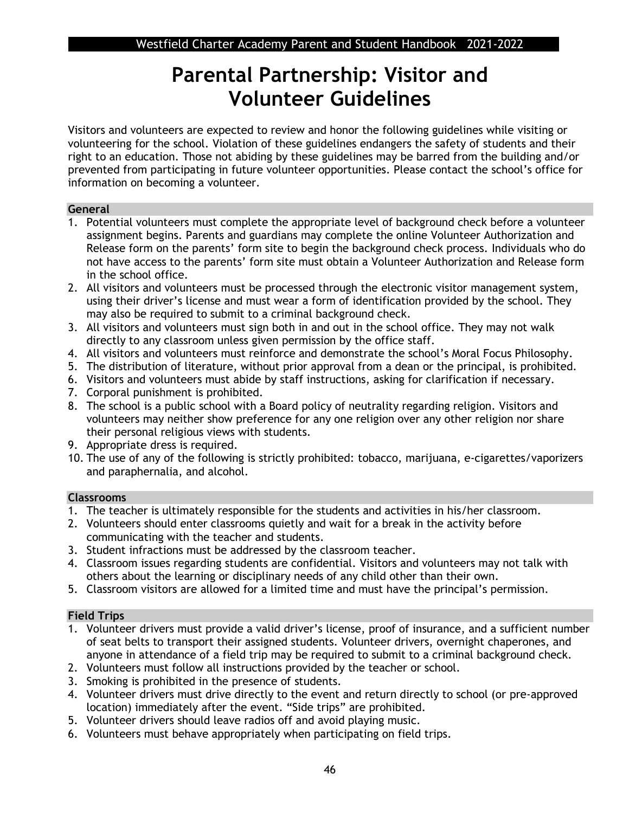## **Parental Partnership: Visitor and Volunteer Guidelines**

Visitors and volunteers are expected to review and honor the following guidelines while visiting or volunteering for the school. Violation of these guidelines endangers the safety of students and their right to an education. Those not abiding by these guidelines may be barred from the building and/or prevented from participating in future volunteer opportunities. Please contact the school's office for information on becoming a volunteer.

#### **General**

- 1. Potential volunteers must complete the appropriate level of background check before a volunteer assignment begins. Parents and guardians may complete the online Volunteer Authorization and Release form on the parents' form site to begin the background check process. Individuals who do not have access to the parents' form site must obtain a Volunteer Authorization and Release form in the school office.
- 2. All visitors and volunteers must be processed through the electronic visitor management system, using their driver's license and must wear a form of identification provided by the school. They may also be required to submit to a criminal background check.
- 3. All visitors and volunteers must sign both in and out in the school office. They may not walk directly to any classroom unless given permission by the office staff.
- 4. All visitors and volunteers must reinforce and demonstrate the school's Moral Focus Philosophy.
- 5. The distribution of literature, without prior approval from a dean or the principal, is prohibited.
- 6. Visitors and volunteers must abide by staff instructions, asking for clarification if necessary.
- 7. Corporal punishment is prohibited.
- 8. The school is a public school with a Board policy of neutrality regarding religion. Visitors and volunteers may neither show preference for any one religion over any other religion nor share their personal religious views with students.
- 9. Appropriate dress is required.
- 10. The use of any of the following is strictly prohibited: tobacco, marijuana, e-cigarettes/vaporizers and paraphernalia, and alcohol.

#### **Classrooms**

- 1. The teacher is ultimately responsible for the students and activities in his/her classroom.
- 2. Volunteers should enter classrooms quietly and wait for a break in the activity before communicating with the teacher and students.
- 3. Student infractions must be addressed by the classroom teacher.
- 4. Classroom issues regarding students are confidential. Visitors and volunteers may not talk with others about the learning or disciplinary needs of any child other than their own.
- 5. Classroom visitors are allowed for a limited time and must have the principal's permission.

### **Field Trips**

- 1. Volunteer drivers must provide a valid driver's license, proof of insurance, and a sufficient number of seat belts to transport their assigned students. Volunteer drivers, overnight chaperones, and anyone in attendance of a field trip may be required to submit to a criminal background check.
- 2. Volunteers must follow all instructions provided by the teacher or school.
- 3. Smoking is prohibited in the presence of students.
- 4. Volunteer drivers must drive directly to the event and return directly to school (or pre-approved location) immediately after the event. "Side trips" are prohibited.
- 5. Volunteer drivers should leave radios off and avoid playing music.
- 6. Volunteers must behave appropriately when participating on field trips.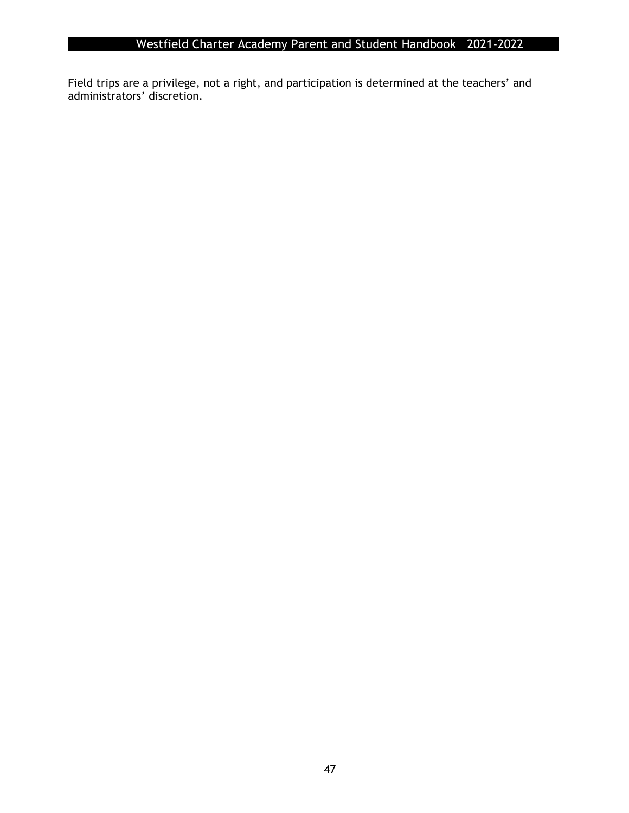Field trips are a privilege, not a right, and participation is determined at the teachers' and administrators' discretion.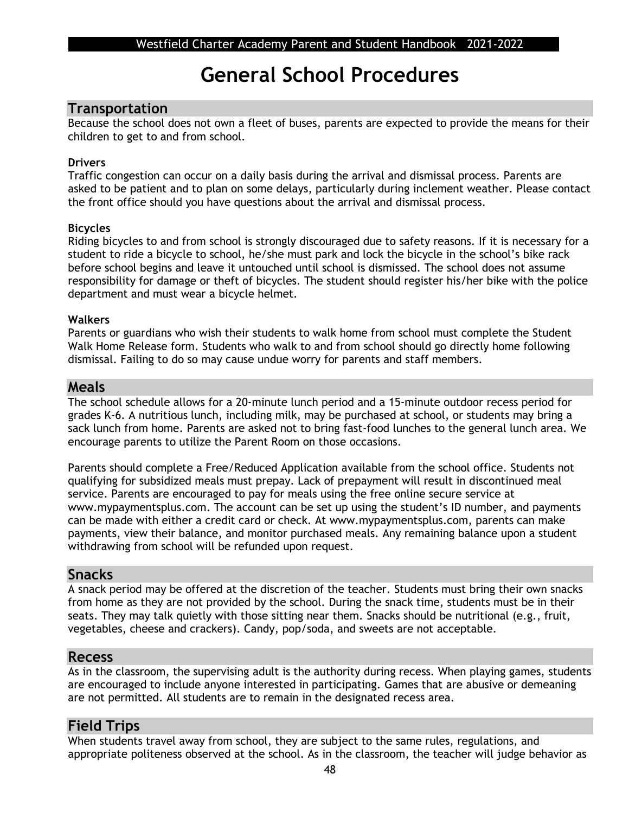## **General School Procedures**

#### **Transportation**

Because the school does not own a fleet of buses, parents are expected to provide the means for their children to get to and from school.

#### **Drivers**

Traffic congestion can occur on a daily basis during the arrival and dismissal process. Parents are asked to be patient and to plan on some delays, particularly during inclement weather. Please contact the front office should you have questions about the arrival and dismissal process.

#### **Bicycles**

Riding bicycles to and from school is strongly discouraged due to safety reasons. If it is necessary for a student to ride a bicycle to school, he/she must park and lock the bicycle in the school's bike rack before school begins and leave it untouched until school is dismissed. The school does not assume responsibility for damage or theft of bicycles. The student should register his/her bike with the police department and must wear a bicycle helmet.

#### **Walkers**

Parents or guardians who wish their students to walk home from school must complete the Student Walk Home Release form. Students who walk to and from school should go directly home following dismissal. Failing to do so may cause undue worry for parents and staff members.

#### **Meals**

The school schedule allows for a 20-minute lunch period and a 15-minute outdoor recess period for grades K-6. A nutritious lunch, including milk, may be purchased at school, or students may bring a sack lunch from home. Parents are asked not to bring fast-food lunches to the general lunch area. We encourage parents to utilize the Parent Room on those occasions.

Parents should complete a Free/Reduced Application available from the school office. Students not qualifying for subsidized meals must prepay. Lack of prepayment will result in discontinued meal service. Parents are encouraged to pay for meals using the free online secure service at www.mypaymentsplus.com. The account can be set up using the student's ID number, and payments can be made with either a credit card or check. At www.mypaymentsplus.com, parents can make payments, view their balance, and monitor purchased meals. Any remaining balance upon a student withdrawing from school will be refunded upon request.

#### **Snacks**

A snack period may be offered at the discretion of the teacher. Students must bring their own snacks from home as they are not provided by the school. During the snack time, students must be in their seats. They may talk quietly with those sitting near them. Snacks should be nutritional (e.g., fruit, vegetables, cheese and crackers). Candy, pop/soda, and sweets are not acceptable.

### **Recess**

As in the classroom, the supervising adult is the authority during recess. When playing games, students are encouraged to include anyone interested in participating. Games that are abusive or demeaning are not permitted. All students are to remain in the designated recess area.

### **Field Trips**

When students travel away from school, they are subject to the same rules, regulations, and appropriate politeness observed at the school. As in the classroom, the teacher will judge behavior as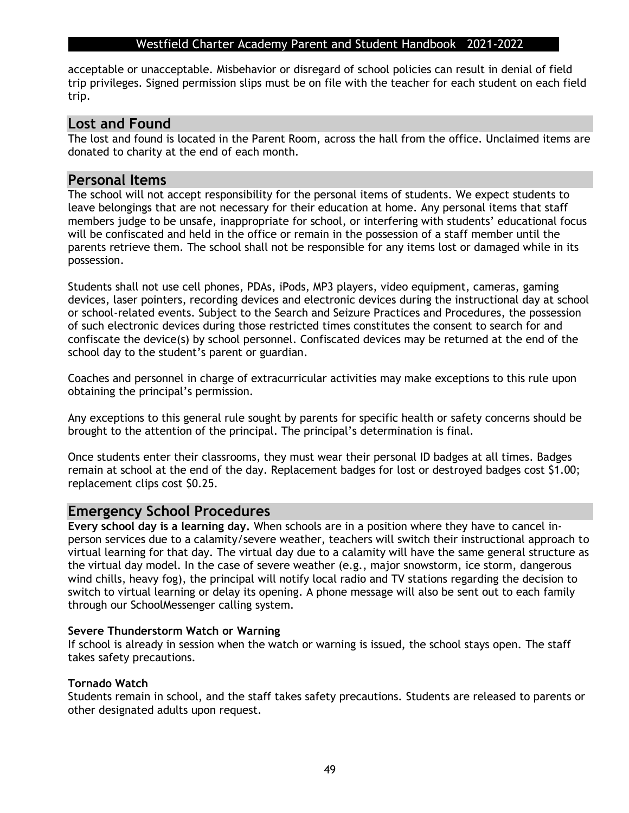acceptable or unacceptable. Misbehavior or disregard of school policies can result in denial of field trip privileges. Signed permission slips must be on file with the teacher for each student on each field trip.

#### **Lost and Found**

The lost and found is located in the Parent Room, across the hall from the office. Unclaimed items are donated to charity at the end of each month.

#### **Personal Items**

The school will not accept responsibility for the personal items of students. We expect students to leave belongings that are not necessary for their education at home. Any personal items that staff members judge to be unsafe, inappropriate for school, or interfering with students' educational focus will be confiscated and held in the office or remain in the possession of a staff member until the parents retrieve them. The school shall not be responsible for any items lost or damaged while in its possession.

Students shall not use cell phones, PDAs, iPods, MP3 players, video equipment, cameras, gaming devices, laser pointers, recording devices and electronic devices during the instructional day at school or school-related events. Subject to the Search and Seizure Practices and Procedures, the possession of such electronic devices during those restricted times constitutes the consent to search for and confiscate the device(s) by school personnel. Confiscated devices may be returned at the end of the school day to the student's parent or guardian.

Coaches and personnel in charge of extracurricular activities may make exceptions to this rule upon obtaining the principal's permission.

Any exceptions to this general rule sought by parents for specific health or safety concerns should be brought to the attention of the principal. The principal's determination is final.

Once students enter their classrooms, they must wear their personal ID badges at all times. Badges remain at school at the end of the day. Replacement badges for lost or destroyed badges cost \$1.00; replacement clips cost \$0.25.

#### **Emergency School Procedures**

**Every school day is a learning day.** When schools are in a position where they have to cancel inperson services due to a calamity/severe weather, teachers will switch their instructional approach to virtual learning for that day. The virtual day due to a calamity will have the same general structure as the virtual day model. In the case of severe weather (e.g., major snowstorm, ice storm, dangerous wind chills, heavy fog), the principal will notify local radio and TV stations regarding the decision to switch to virtual learning or delay its opening. A phone message will also be sent out to each family through our SchoolMessenger calling system.

#### **Severe Thunderstorm Watch or Warning**

If school is already in session when the watch or warning is issued, the school stays open. The staff takes safety precautions.

#### **Tornado Watch**

Students remain in school, and the staff takes safety precautions. Students are released to parents or other designated adults upon request.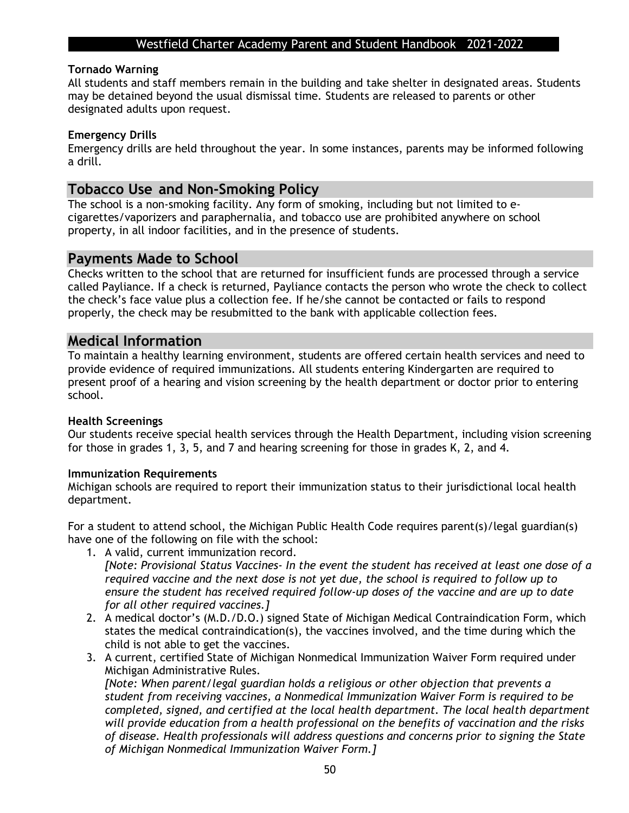#### **Tornado Warning**

All students and staff members remain in the building and take shelter in designated areas. Students may be detained beyond the usual dismissal time. Students are released to parents or other designated adults upon request.

#### **Emergency Drills**

Emergency drills are held throughout the year. In some instances, parents may be informed following a drill.

#### **Tobacco Use and Non-Smoking Policy**

The school is a non-smoking facility. Any form of smoking, including but not limited to ecigarettes/vaporizers and paraphernalia, and tobacco use are prohibited anywhere on school property, in all indoor facilities, and in the presence of students.

#### **Payments Made to School**

Checks written to the school that are returned for insufficient funds are processed through a service called Payliance. If a check is returned, Payliance contacts the person who wrote the check to collect the check's face value plus a collection fee. If he/she cannot be contacted or fails to respond properly, the check may be resubmitted to the bank with applicable collection fees.

#### **Medical Information**

To maintain a healthy learning environment, students are offered certain health services and need to provide evidence of required immunizations. All students entering Kindergarten are required to present proof of a hearing and vision screening by the health department or doctor prior to entering school.

#### **Health Screenings**

Our students receive special health services through the Health Department, including vision screening for those in grades 1, 3, 5, and 7 and hearing screening for those in grades K, 2, and 4.

#### **Immunization Requirements**

Michigan schools are required to report their immunization status to their jurisdictional local health department.

For a student to attend school, the Michigan Public Health Code requires parent(s)/legal guardian(s) have one of the following on file with the school:

- 1. A valid, current immunization record. *[Note: Provisional Status Vaccines- In the event the student has received at least one dose of a required vaccine and the next dose is not yet due, the school is required to follow up to ensure the student has received required follow-up doses of the vaccine and are up to date for all other required vaccines.]*
- 2. A medical doctor's (M.D./D.O.) signed State of Michigan Medical Contraindication Form, which states the medical contraindication(s), the vaccines involved, and the time during which the child is not able to get the vaccines.
- 3. A current, certified State of Michigan Nonmedical Immunization Waiver Form required under Michigan Administrative Rules.

*[Note: When parent/legal guardian holds a religious or other objection that prevents a student from receiving vaccines, a Nonmedical Immunization Waiver Form is required to be completed, signed, and certified at the local health department. The local health department will provide education from a health professional on the benefits of vaccination and the risks of disease. Health professionals will address questions and concerns prior to signing the State of Michigan Nonmedical Immunization Waiver Form.]*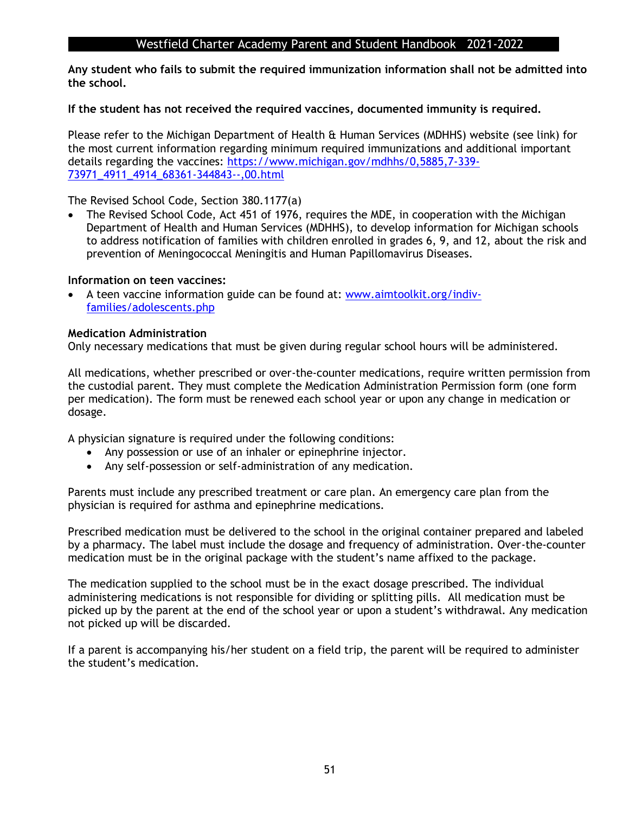**Any student who fails to submit the required immunization information shall not be admitted into the school.**

#### **If the student has not received the required vaccines, documented immunity is required.**

Please refer to the Michigan Department of Health & Human Services (MDHHS) website (see link) for the most current information regarding minimum required immunizations and additional important details regarding the vaccines: [https://www.michigan.gov/mdhhs/0,5885,7-339-](https://www.michigan.gov/mdhhs/0,5885,7-339-73971_4911_4914_68361-344843--,00.html) [73971\\_4911\\_4914\\_68361-344843--,00.html](https://www.michigan.gov/mdhhs/0,5885,7-339-73971_4911_4914_68361-344843--,00.html)

The Revised School Code, Section 380.1177(a)

The Revised School Code, Act 451 of 1976, requires the MDE, in cooperation with the Michigan Department of Health and Human Services (MDHHS), to develop information for Michigan schools to address notification of families with children enrolled in grades 6, 9, and 12, about the risk and prevention of Meningococcal Meningitis and Human Papillomavirus Diseases.

#### **Information on teen vaccines:**

• A teen vaccine information guide can be found at: [www.aimtoolkit.org/indiv](http://www.aimtoolkit.org/indiv-families/adolescents.php)[families/adolescents.php](http://www.aimtoolkit.org/indiv-families/adolescents.php)

#### **Medication Administration**

Only necessary medications that must be given during regular school hours will be administered.

All medications, whether prescribed or over-the-counter medications, require written permission from the custodial parent. They must complete the Medication Administration Permission form (one form per medication). The form must be renewed each school year or upon any change in medication or dosage.

A physician signature is required under the following conditions:

- Any possession or use of an inhaler or epinephrine injector.
- Any self-possession or self-administration of any medication.

Parents must include any prescribed treatment or care plan. An emergency care plan from the physician is required for asthma and epinephrine medications.

Prescribed medication must be delivered to the school in the original container prepared and labeled by a pharmacy. The label must include the dosage and frequency of administration. Over-the-counter medication must be in the original package with the student's name affixed to the package.

The medication supplied to the school must be in the exact dosage prescribed. The individual administering medications is not responsible for dividing or splitting pills. All medication must be picked up by the parent at the end of the school year or upon a student's withdrawal. Any medication not picked up will be discarded.

If a parent is accompanying his/her student on a field trip, the parent will be required to administer the student's medication.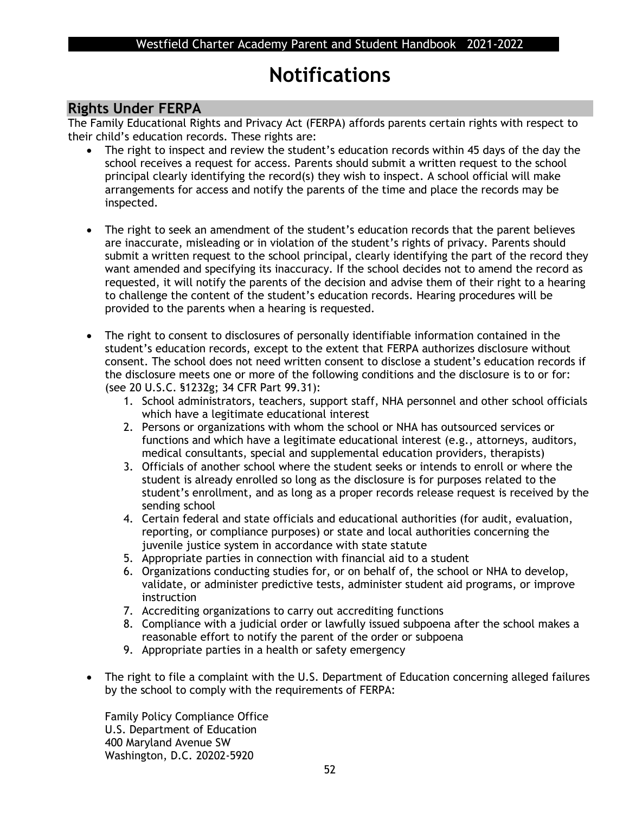## **Notifications**

## **Rights Under FERPA**

The Family Educational Rights and Privacy Act (FERPA) affords parents certain rights with respect to their child's education records. These rights are:

- The right to inspect and review the student's education records within 45 days of the day the school receives a request for access. Parents should submit a written request to the school principal clearly identifying the record(s) they wish to inspect. A school official will make arrangements for access and notify the parents of the time and place the records may be inspected.
- The right to seek an amendment of the student's education records that the parent believes are inaccurate, misleading or in violation of the student's rights of privacy. Parents should submit a written request to the school principal, clearly identifying the part of the record they want amended and specifying its inaccuracy. If the school decides not to amend the record as requested, it will notify the parents of the decision and advise them of their right to a hearing to challenge the content of the student's education records. Hearing procedures will be provided to the parents when a hearing is requested.
- The right to consent to disclosures of personally identifiable information contained in the student's education records, except to the extent that FERPA authorizes disclosure without consent. The school does not need written consent to disclose a student's education records if the disclosure meets one or more of the following conditions and the disclosure is to or for: (see 20 U.S.C. §1232g; 34 CFR Part 99.31):
	- 1. School administrators, teachers, support staff, NHA personnel and other school officials which have a legitimate educational interest
	- 2. Persons or organizations with whom the school or NHA has outsourced services or functions and which have a legitimate educational interest (e.g., attorneys, auditors, medical consultants, special and supplemental education providers, therapists)
	- 3. Officials of another school where the student seeks or intends to enroll or where the student is already enrolled so long as the disclosure is for purposes related to the student's enrollment, and as long as a proper records release request is received by the sending school
	- 4. Certain federal and state officials and educational authorities (for audit, evaluation, reporting, or compliance purposes) or state and local authorities concerning the juvenile justice system in accordance with state statute
	- 5. Appropriate parties in connection with financial aid to a student
	- 6. Organizations conducting studies for, or on behalf of, the school or NHA to develop, validate, or administer predictive tests, administer student aid programs, or improve instruction
	- 7. Accrediting organizations to carry out accrediting functions
	- 8. Compliance with a judicial order or lawfully issued subpoena after the school makes a reasonable effort to notify the parent of the order or subpoena
	- 9. Appropriate parties in a health or safety emergency
- The right to file a complaint with the U.S. Department of Education concerning alleged failures by the school to comply with the requirements of FERPA:

Family Policy Compliance Office U.S. Department of Education 400 Maryland Avenue SW Washington, D.C. 20202-5920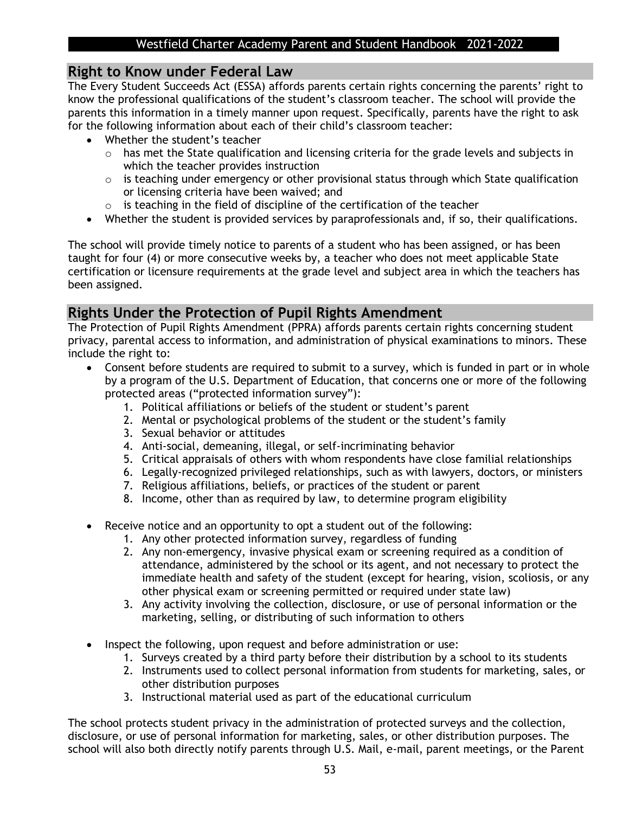### **Right to Know under Federal Law**

The Every Student Succeeds Act (ESSA) affords parents certain rights concerning the parents' right to know the professional qualifications of the student's classroom teacher. The school will provide the parents this information in a timely manner upon request. Specifically, parents have the right to ask for the following information about each of their child's classroom teacher:

- Whether the student's teacher
	- o has met the State qualification and licensing criteria for the grade levels and subjects in which the teacher provides instruction
	- $\circ$  is teaching under emergency or other provisional status through which State qualification or licensing criteria have been waived; and
	- o is teaching in the field of discipline of the certification of the teacher
- Whether the student is provided services by paraprofessionals and, if so, their qualifications.

The school will provide timely notice to parents of a student who has been assigned, or has been taught for four (4) or more consecutive weeks by, a teacher who does not meet applicable State certification or licensure requirements at the grade level and subject area in which the teachers has been assigned.

## **Rights Under the Protection of Pupil Rights Amendment**

The Protection of Pupil Rights Amendment (PPRA) affords parents certain rights concerning student privacy, parental access to information, and administration of physical examinations to minors. These include the right to:

- Consent before students are required to submit to a survey, which is funded in part or in whole by a program of the U.S. Department of Education, that concerns one or more of the following protected areas ("protected information survey"):
	- 1. Political affiliations or beliefs of the student or student's parent
	- 2. Mental or psychological problems of the student or the student's family
	- 3. Sexual behavior or attitudes
	- 4. Anti-social, demeaning, illegal, or self-incriminating behavior
	- 5. Critical appraisals of others with whom respondents have close familial relationships
	- 6. Legally-recognized privileged relationships, such as with lawyers, doctors, or ministers
	- 7. Religious affiliations, beliefs, or practices of the student or parent
	- 8. Income, other than as required by law, to determine program eligibility
- Receive notice and an opportunity to opt a student out of the following:
	- 1. Any other protected information survey, regardless of funding
	- 2. Any non-emergency, invasive physical exam or screening required as a condition of attendance, administered by the school or its agent, and not necessary to protect the immediate health and safety of the student (except for hearing, vision, scoliosis, or any other physical exam or screening permitted or required under state law)
	- 3. Any activity involving the collection, disclosure, or use of personal information or the marketing, selling, or distributing of such information to others
- Inspect the following, upon request and before administration or use:
	- 1. Surveys created by a third party before their distribution by a school to its students
	- 2. Instruments used to collect personal information from students for marketing, sales, or other distribution purposes
	- 3. Instructional material used as part of the educational curriculum

The school protects student privacy in the administration of protected surveys and the collection, disclosure, or use of personal information for marketing, sales, or other distribution purposes. The school will also both directly notify parents through U.S. Mail, e-mail, parent meetings, or the Parent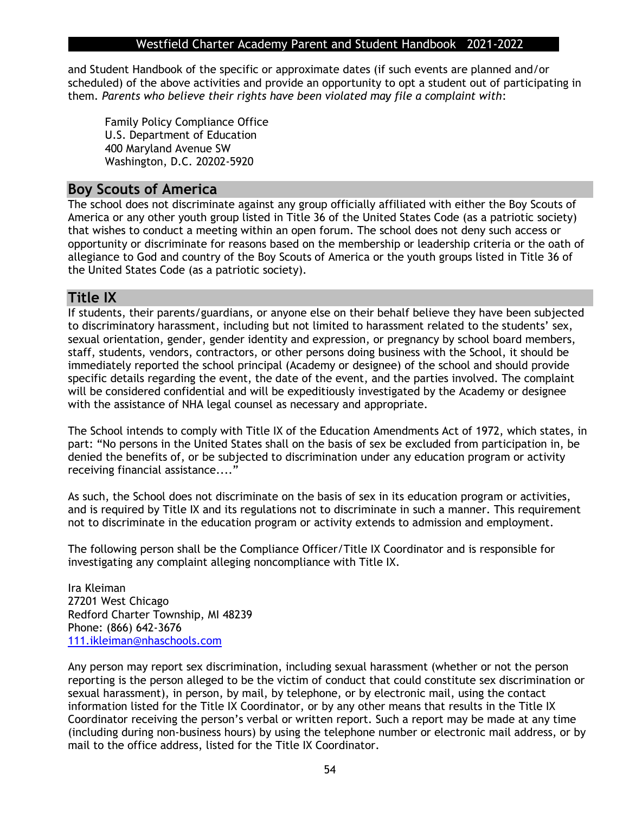and Student Handbook of the specific or approximate dates (if such events are planned and/or scheduled) of the above activities and provide an opportunity to opt a student out of participating in them. *Parents who believe their rights have been violated may file a complaint with*:

Family Policy Compliance Office U.S. Department of Education 400 Maryland Avenue SW Washington, D.C. 20202-5920

#### **Boy Scouts of America**

The school does not discriminate against any group officially affiliated with either the Boy Scouts of America or any other youth group listed in Title 36 of the United States Code (as a patriotic society) that wishes to conduct a meeting within an open forum. The school does not deny such access or opportunity or discriminate for reasons based on the membership or leadership criteria or the oath of allegiance to God and country of the Boy Scouts of America or the youth groups listed in Title 36 of the United States Code (as a patriotic society).

### **Title IX**

If students, their parents/guardians, or anyone else on their behalf believe they have been subjected to discriminatory harassment, including but not limited to harassment related to the students' sex, sexual orientation, gender, gender identity and expression, or pregnancy by school board members, staff, students, vendors, contractors, or other persons doing business with the School, it should be immediately reported the school principal (Academy or designee) of the school and should provide specific details regarding the event, the date of the event, and the parties involved. The complaint will be considered confidential and will be expeditiously investigated by the Academy or designee with the assistance of NHA legal counsel as necessary and appropriate.

The School intends to comply with Title IX of the Education Amendments Act of 1972, which states, in part: "No persons in the United States shall on the basis of sex be excluded from participation in, be denied the benefits of, or be subjected to discrimination under any education program or activity receiving financial assistance...."

As such, the School does not discriminate on the basis of sex in its education program or activities, and is required by Title IX and its regulations not to discriminate in such a manner. This requirement not to discriminate in the education program or activity extends to admission and employment.

The following person shall be the Compliance Officer/Title IX Coordinator and is responsible for investigating any complaint alleging noncompliance with Title IX.

Ira Kleiman 27201 West Chicago Redford Charter Township, MI 48239 Phone: (866) 642-3676 [111.ikleiman@nhaschools.com](mailto:111.ikleiman@nhaschools.com)

Any person may report sex discrimination, including sexual harassment (whether or not the person reporting is the person alleged to be the victim of conduct that could constitute sex discrimination or sexual harassment), in person, by mail, by telephone, or by electronic mail, using the contact information listed for the Title IX Coordinator, or by any other means that results in the Title IX Coordinator receiving the person's verbal or written report. Such a report may be made at any time (including during non-business hours) by using the telephone number or electronic mail address, or by mail to the office address, listed for the Title IX Coordinator.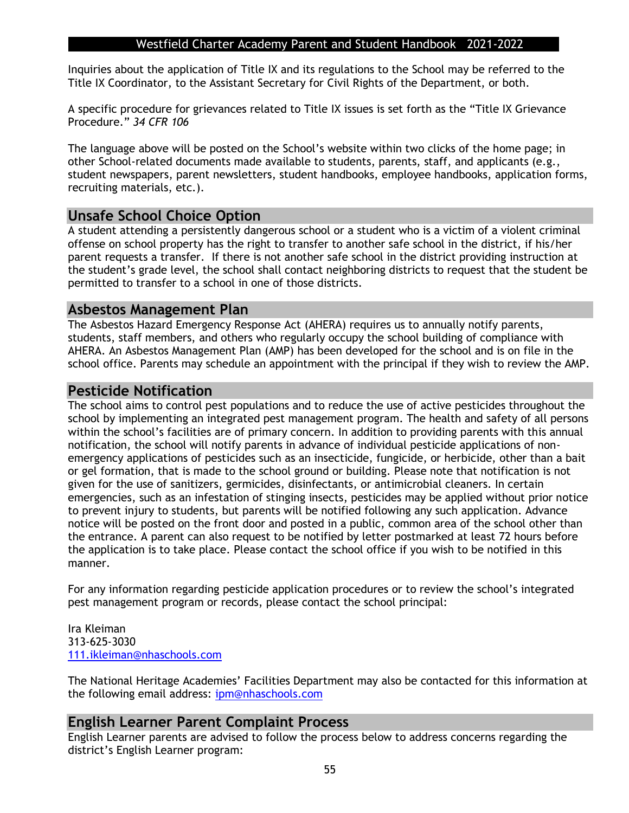Inquiries about the application of Title IX and its regulations to the School may be referred to the Title IX Coordinator, to the Assistant Secretary for Civil Rights of the Department, or both.

A specific procedure for grievances related to Title IX issues is set forth as the "Title IX Grievance Procedure." *34 CFR 106*

The language above will be posted on the School's website within two clicks of the home page; in other School-related documents made available to students, parents, staff, and applicants (e.g., student newspapers, parent newsletters, student handbooks, employee handbooks, application forms, recruiting materials, etc.).

## **Unsafe School Choice Option**

A student attending a persistently dangerous school or a student who is a victim of a violent criminal offense on school property has the right to transfer to another safe school in the district, if his/her parent requests a transfer. If there is not another safe school in the district providing instruction at the student's grade level, the school shall contact neighboring districts to request that the student be permitted to transfer to a school in one of those districts.

#### **Asbestos Management Plan**

The Asbestos Hazard Emergency Response Act (AHERA) requires us to annually notify parents, students, staff members, and others who regularly occupy the school building of compliance with AHERA. An Asbestos Management Plan (AMP) has been developed for the school and is on file in the school office. Parents may schedule an appointment with the principal if they wish to review the AMP.

#### **Pesticide Notification**

The school aims to control pest populations and to reduce the use of active pesticides throughout the school by implementing an integrated pest management program. The health and safety of all persons within the school's facilities are of primary concern. In addition to providing parents with this annual notification, the school will notify parents in advance of individual pesticide applications of nonemergency applications of pesticides such as an insecticide, fungicide, or herbicide, other than a bait or gel formation, that is made to the school ground or building. Please note that notification is not given for the use of sanitizers, germicides, disinfectants, or antimicrobial cleaners. In certain emergencies, such as an infestation of stinging insects, pesticides may be applied without prior notice to prevent injury to students, but parents will be notified following any such application. Advance notice will be posted on the front door and posted in a public, common area of the school other than the entrance. A parent can also request to be notified by letter postmarked at least 72 hours before the application is to take place. Please contact the school office if you wish to be notified in this manner.

For any information regarding pesticide application procedures or to review the school's integrated pest management program or records, please contact the school principal:

Ira Kleiman 313-625-3030 [111.ikleiman@nhaschools.com](mailto:111.ikleiman@nhaschools.com)

The National Heritage Academies' Facilities Department may also be contacted for this information at the following email address: [ipm@nhaschools.com](mailto:ipm@nhaschools.com)

#### **English Learner Parent Complaint Process**

English Learner parents are advised to follow the process below to address concerns regarding the district's English Learner program: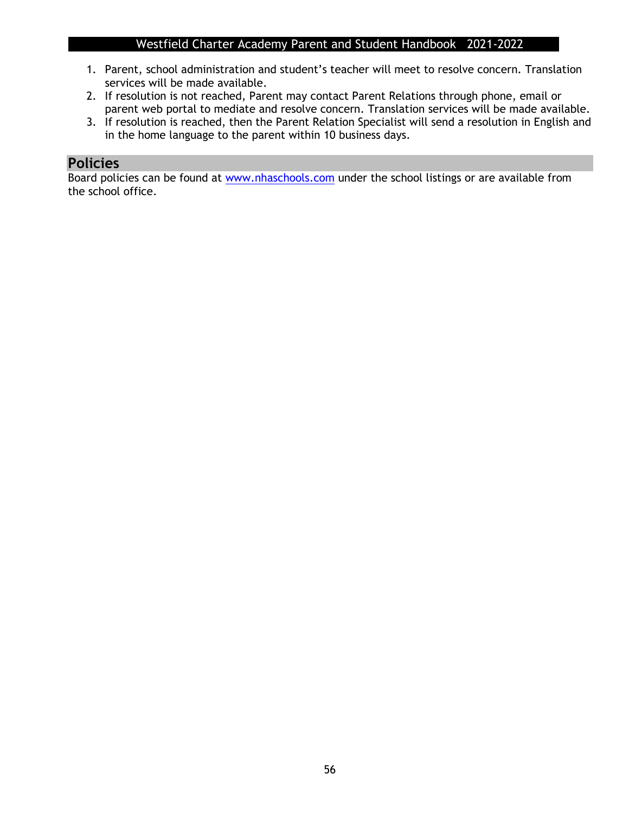- 1. Parent, school administration and student's teacher will meet to resolve concern. Translation services will be made available.
- 2. If resolution is not reached, Parent may contact Parent Relations through phone, email or parent web portal to mediate and resolve concern. Translation services will be made available.
- 3. If resolution is reached, then the Parent Relation Specialist will send a resolution in English and in the home language to the parent within 10 business days.

## **Policies**

Board policies can be found at [www.nhaschools.com](http://www.nhaschools.com/) under the school listings or are available from the school office.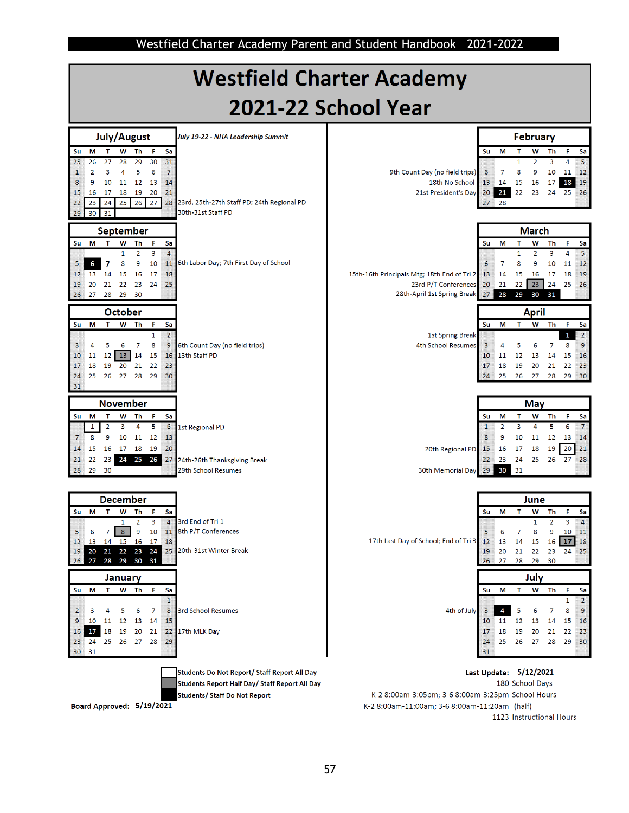